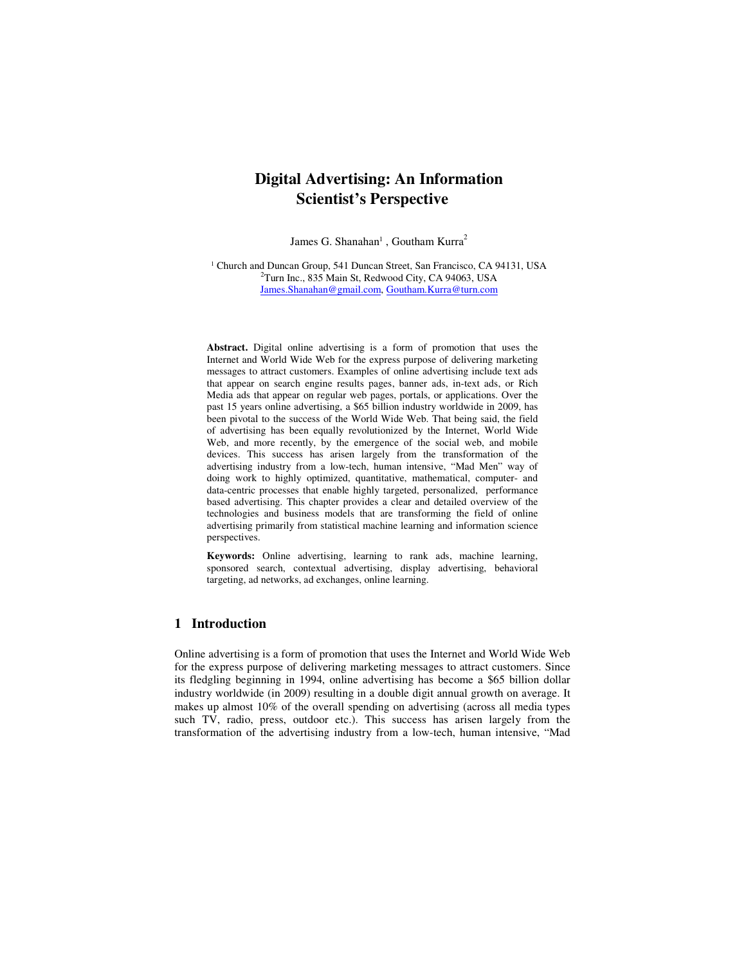# **Digital Advertising: An Information Scientist's Perspective**

James G. Shanahan<sup>1</sup>, Goutham Kurra<sup>2</sup>

<sup>1</sup> Church and Duncan Group, 541 Duncan Street, San Francisco, CA 94131, USA  $2$ Turn Inc., 835 Main St, Redwood City, CA 94063, USA James.Shanahan@gmail.com, Goutham.Kurra@turn.com

**Abstract.** Digital online advertising is a form of promotion that uses the Internet and World Wide Web for the express purpose of delivering marketing messages to attract customers. Examples of online advertising include text ads that appear on search engine results pages, banner ads, in-text ads, or Rich Media ads that appear on regular web pages, portals, or applications. Over the past 15 years online advertising, a \$65 billion industry worldwide in 2009, has been pivotal to the success of the World Wide Web. That being said, the field of advertising has been equally revolutionized by the Internet, World Wide Web, and more recently, by the emergence of the social web, and mobile devices. This success has arisen largely from the transformation of the advertising industry from a low-tech, human intensive, "Mad Men" way of doing work to highly optimized, quantitative, mathematical, computer- and data-centric processes that enable highly targeted, personalized, performance based advertising. This chapter provides a clear and detailed overview of the technologies and business models that are transforming the field of online advertising primarily from statistical machine learning and information science perspectives.

**Keywords:** Online advertising, learning to rank ads, machine learning, sponsored search, contextual advertising, display advertising, behavioral targeting, ad networks, ad exchanges, online learning.

## **1 Introduction**

Online advertising is a form of promotion that uses the Internet and World Wide Web for the express purpose of delivering marketing messages to attract customers. Since its fledgling beginning in 1994, online advertising has become a \$65 billion dollar industry worldwide (in 2009) resulting in a double digit annual growth on average. It makes up almost 10% of the overall spending on advertising (across all media types such TV, radio, press, outdoor etc.). This success has arisen largely from the transformation of the advertising industry from a low-tech, human intensive, "Mad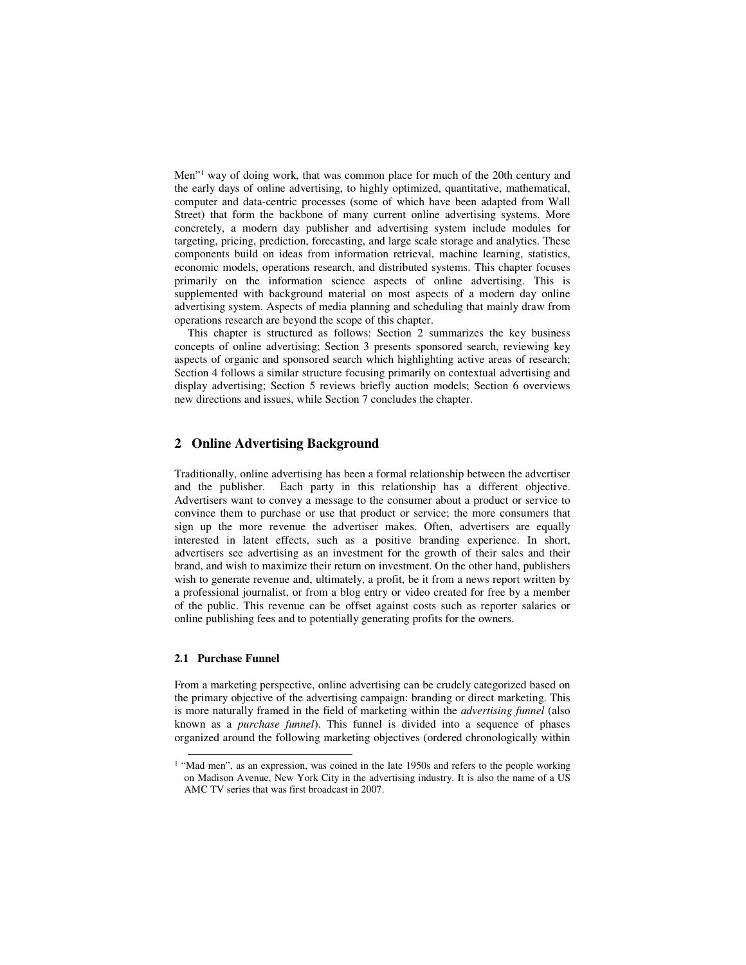Men"<sup>1</sup> way of doing work, that was common place for much of the 20th century and the early days of online advertising, to highly optimized, quantitative, mathematical, computer and data-centric processes (some of which have been adapted from Wall Street) that form the backbone of many current online advertising systems. More concretely, a modern day publisher and advertising system include modules for targeting, pricing, prediction, forecasting, and large scale storage and analytics. These components build on ideas from information retrieval, machine learning, statistics, economic models, operations research, and distributed systems. This chapter focuses primarily on the information science aspects of online advertising. This is supplemented with background material on most aspects of a modern day online advertising system. Aspects of media planning and scheduling that mainly draw from operations research are beyond the scope of this chapter.

This chapter is structured as follows: Section 2 summarizes the key business concepts of online advertising; Section 3 presents sponsored search, reviewing key aspects of organic and sponsored search which highlighting active areas of research; Section 4 follows a similar structure focusing primarily on contextual advertising and display advertising; Section 5 reviews briefly auction models; Section 6 overviews new directions and issues, while Section 7 concludes the chapter.

## **2 Online Advertising Background**

Traditionally, online advertising has been a formal relationship between the advertiser and the publisher. Each party in this relationship has a different objective. Advertisers want to convey a message to the consumer about a product or service to convince them to purchase or use that product or service; the more consumers that sign up the more revenue the advertiser makes. Often, advertisers are equally interested in latent effects, such as a positive branding experience. In short, advertisers see advertising as an investment for the growth of their sales and their brand, and wish to maximize their return on investment. On the other hand, publishers wish to generate revenue and, ultimately, a profit, be it from a news report written by a professional journalist, or from a blog entry or video created for free by a member of the public. This revenue can be offset against costs such as reporter salaries or online publishing fees and to potentially generating profits for the owners.

## **2.1 Purchase Funnel**

<u>.</u>

From a marketing perspective, online advertising can be crudely categorized based on the primary objective of the advertising campaign: branding or direct marketing. This is more naturally framed in the field of marketing within the *advertising funnel* (also known as a *purchase funnel*). This funnel is divided into a sequence of phases organized around the following marketing objectives (ordered chronologically within

<sup>&</sup>lt;sup>1</sup> "Mad men", as an expression, was coined in the late 1950s and refers to the people working on Madison Avenue, New York City in the advertising industry. It is also the name of a US AMC TV series that was first broadcast in 2007.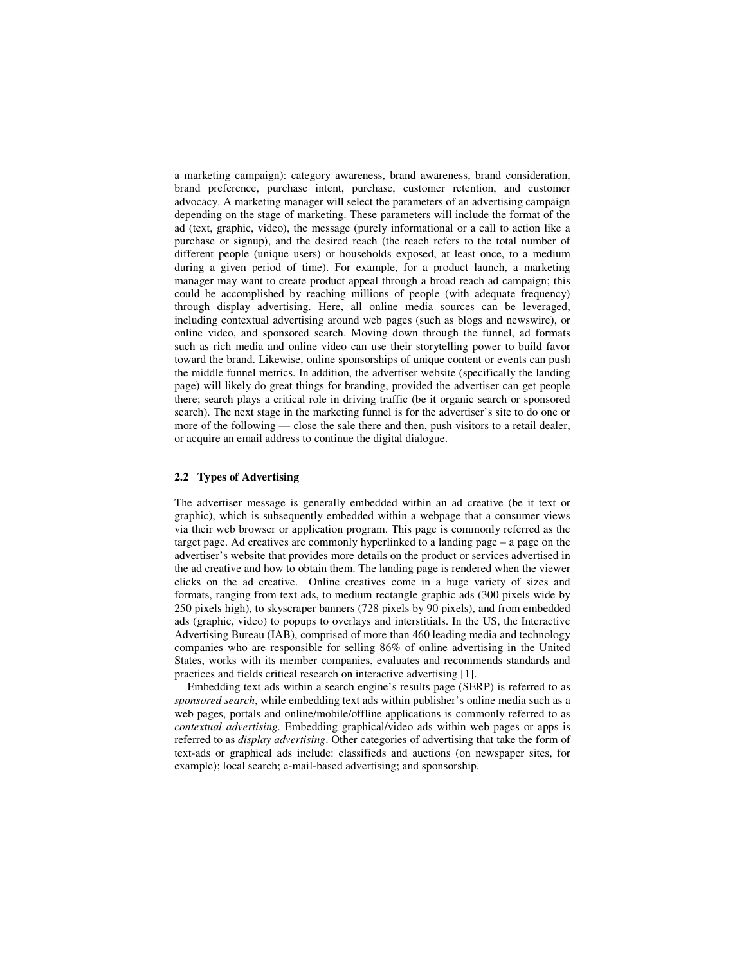a marketing campaign): category awareness, brand awareness, brand consideration, brand preference, purchase intent, purchase, customer retention, and customer advocacy. A marketing manager will select the parameters of an advertising campaign depending on the stage of marketing. These parameters will include the format of the ad (text, graphic, video), the message (purely informational or a call to action like a purchase or signup), and the desired reach (the reach refers to the total number of different people (unique users) or households exposed, at least once, to a medium during a given period of time). For example, for a product launch, a marketing manager may want to create product appeal through a broad reach ad campaign; this could be accomplished by reaching millions of people (with adequate frequency) through display advertising. Here, all online media sources can be leveraged, including contextual advertising around web pages (such as blogs and newswire), or online video, and sponsored search. Moving down through the funnel, ad formats such as rich media and online video can use their storytelling power to build favor toward the brand. Likewise, online sponsorships of unique content or events can push the middle funnel metrics. In addition, the advertiser website (specifically the landing page) will likely do great things for branding, provided the advertiser can get people there; search plays a critical role in driving traffic (be it organic search or sponsored search). The next stage in the marketing funnel is for the advertiser's site to do one or more of the following — close the sale there and then, push visitors to a retail dealer, or acquire an email address to continue the digital dialogue.

#### **2.2 Types of Advertising**

The advertiser message is generally embedded within an ad creative (be it text or graphic), which is subsequently embedded within a webpage that a consumer views via their web browser or application program. This page is commonly referred as the target page. Ad creatives are commonly hyperlinked to a landing page – a page on the advertiser's website that provides more details on the product or services advertised in the ad creative and how to obtain them. The landing page is rendered when the viewer clicks on the ad creative. Online creatives come in a huge variety of sizes and formats, ranging from text ads, to medium rectangle graphic ads (300 pixels wide by 250 pixels high), to skyscraper banners (728 pixels by 90 pixels), and from embedded ads (graphic, video) to popups to overlays and interstitials. In the US, the Interactive Advertising Bureau (IAB), comprised of more than 460 leading media and technology companies who are responsible for selling 86% of online advertising in the United States, works with its member companies, evaluates and recommends standards and practices and fields critical research on interactive advertising [1].

Embedding text ads within a search engine's results page (SERP) is referred to as *sponsored search*, while embedding text ads within publisher's online media such as a web pages, portals and online/mobile/offline applications is commonly referred to as *contextual advertising.* Embedding graphical/video ads within web pages or apps is referred to as *display advertising*. Other categories of advertising that take the form of text-ads or graphical ads include: classifieds and auctions (on newspaper sites, for example); local search; e-mail-based advertising; and sponsorship.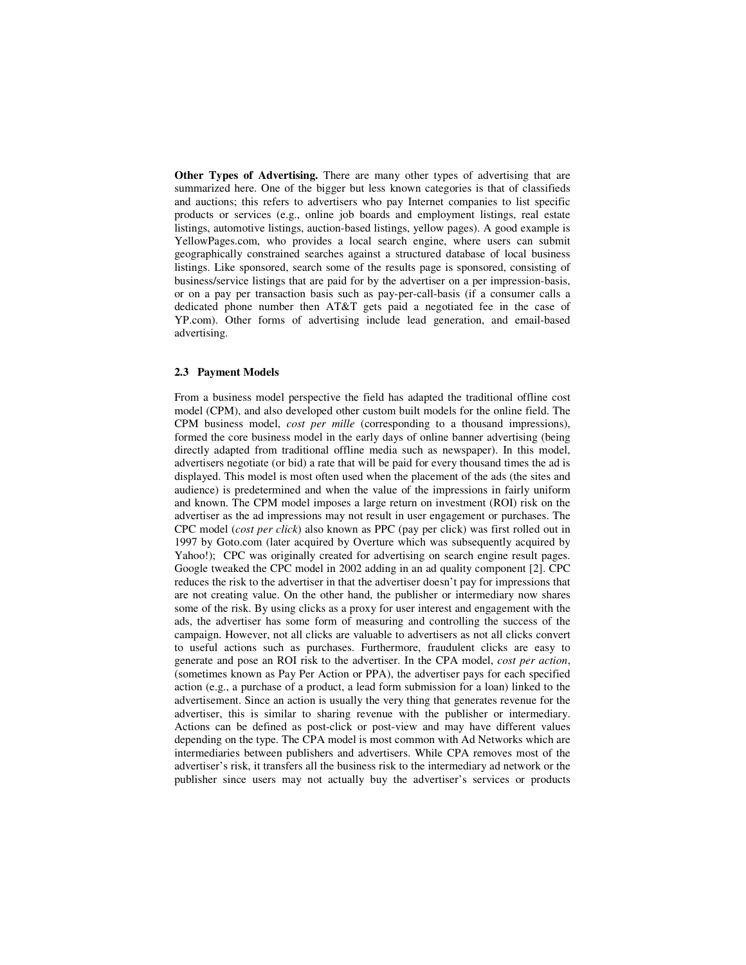**Other Types of Advertising.** There are many other types of advertising that are summarized here. One of the bigger but less known categories is that of classifieds and auctions; this refers to advertisers who pay Internet companies to list specific products or services (e.g., online job boards and employment listings, real estate listings, automotive listings, auction-based listings, yellow pages). A good example is YellowPages.com, who provides a local search engine, where users can submit geographically constrained searches against a structured database of local business listings. Like sponsored, search some of the results page is sponsored, consisting of business/service listings that are paid for by the advertiser on a per impression-basis, or on a pay per transaction basis such as pay-per-call-basis (if a consumer calls a dedicated phone number then AT&T gets paid a negotiated fee in the case of YP.com). Other forms of advertising include lead generation, and email-based advertising.

## **2.3 Payment Models**

From a business model perspective the field has adapted the traditional offline cost model (CPM), and also developed other custom built models for the online field. The CPM business model, *cost per mille* (corresponding to a thousand impressions), formed the core business model in the early days of online banner advertising (being directly adapted from traditional offline media such as newspaper). In this model, advertisers negotiate (or bid) a rate that will be paid for every thousand times the ad is displayed. This model is most often used when the placement of the ads (the sites and audience) is predetermined and when the value of the impressions in fairly uniform and known. The CPM model imposes a large return on investment (ROI) risk on the advertiser as the ad impressions may not result in user engagement or purchases. The CPC model (*cost per click*) also known as PPC (pay per click) was first rolled out in 1997 by Goto.com (later acquired by Overture which was subsequently acquired by Yahoo!); CPC was originally created for advertising on search engine result pages. Google tweaked the CPC model in 2002 adding in an ad quality component [2]. CPC reduces the risk to the advertiser in that the advertiser doesn't pay for impressions that are not creating value. On the other hand, the publisher or intermediary now shares some of the risk. By using clicks as a proxy for user interest and engagement with the ads, the advertiser has some form of measuring and controlling the success of the campaign. However, not all clicks are valuable to advertisers as not all clicks convert to useful actions such as purchases. Furthermore, fraudulent clicks are easy to generate and pose an ROI risk to the advertiser. In the CPA model, *cost per action*, (sometimes known as Pay Per Action or PPA), the advertiser pays for each specified action (e.g., a purchase of a product, a lead form submission for a loan) linked to the advertisement. Since an action is usually the very thing that generates revenue for the advertiser, this is similar to sharing revenue with the publisher or intermediary. Actions can be defined as post-click or post-view and may have different values depending on the type. The CPA model is most common with Ad Networks which are intermediaries between publishers and advertisers. While CPA removes most of the advertiser's risk, it transfers all the business risk to the intermediary ad network or the publisher since users may not actually buy the advertiser's services or products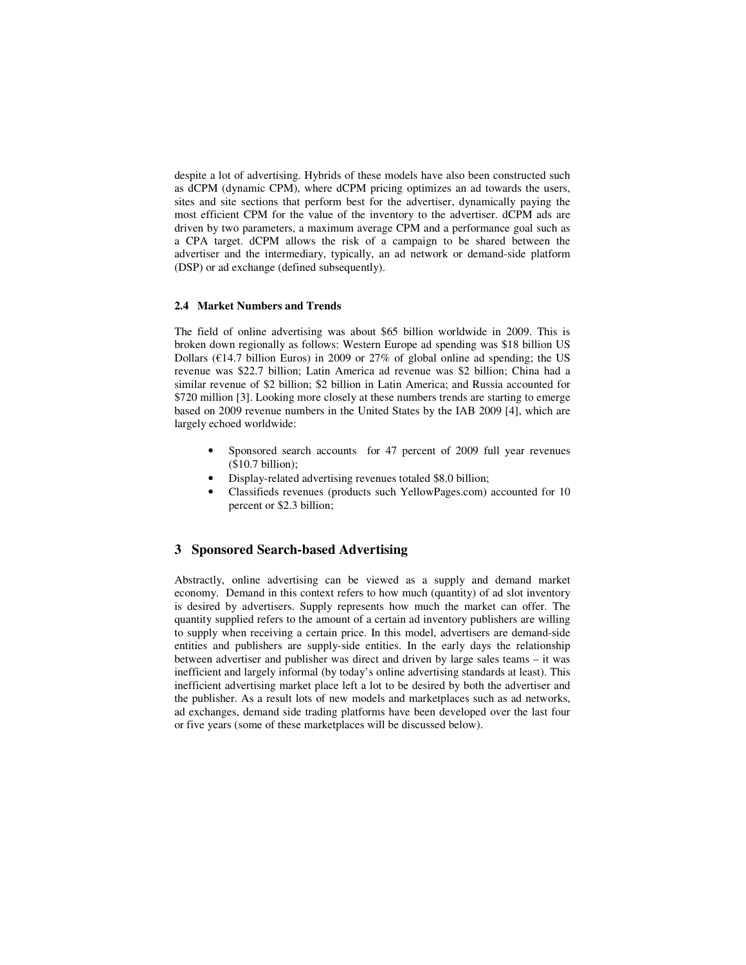despite a lot of advertising. Hybrids of these models have also been constructed such as dCPM (dynamic CPM), where dCPM pricing optimizes an ad towards the users, sites and site sections that perform best for the advertiser, dynamically paying the most efficient CPM for the value of the inventory to the advertiser. dCPM ads are driven by two parameters, a maximum average CPM and a performance goal such as a CPA target. dCPM allows the risk of a campaign to be shared between the advertiser and the intermediary, typically, an ad network or demand-side platform (DSP) or ad exchange (defined subsequently).

## **2.4 Market Numbers and Trends**

The field of online advertising was about \$65 billion worldwide in 2009. This is broken down regionally as follows: Western Europe ad spending was \$18 billion US Dollars ( $\epsilon$ 14.7 billion Euros) in 2009 or 27% of global online ad spending; the US revenue was \$22.7 billion; Latin America ad revenue was \$2 billion; China had a similar revenue of \$2 billion; \$2 billion in Latin America; and Russia accounted for \$720 million [3]. Looking more closely at these numbers trends are starting to emerge based on 2009 revenue numbers in the United States by the IAB 2009 [4], which are largely echoed worldwide:

- Sponsored search accounts for 47 percent of 2009 full year revenues (\$10.7 billion);
- Display-related advertising revenues totaled \$8.0 billion;
- Classifieds revenues (products such YellowPages.com) accounted for 10 percent or \$2.3 billion;

# **3 Sponsored Search-based Advertising**

Abstractly, online advertising can be viewed as a supply and demand market economy. Demand in this context refers to how much (quantity) of ad slot inventory is desired by advertisers. Supply represents how much the market can offer. The quantity supplied refers to the amount of a certain ad inventory publishers are willing to supply when receiving a certain price. In this model, advertisers are demand-side entities and publishers are supply-side entities. In the early days the relationship between advertiser and publisher was direct and driven by large sales teams – it was inefficient and largely informal (by today's online advertising standards at least). This inefficient advertising market place left a lot to be desired by both the advertiser and the publisher. As a result lots of new models and marketplaces such as ad networks, ad exchanges, demand side trading platforms have been developed over the last four or five years (some of these marketplaces will be discussed below).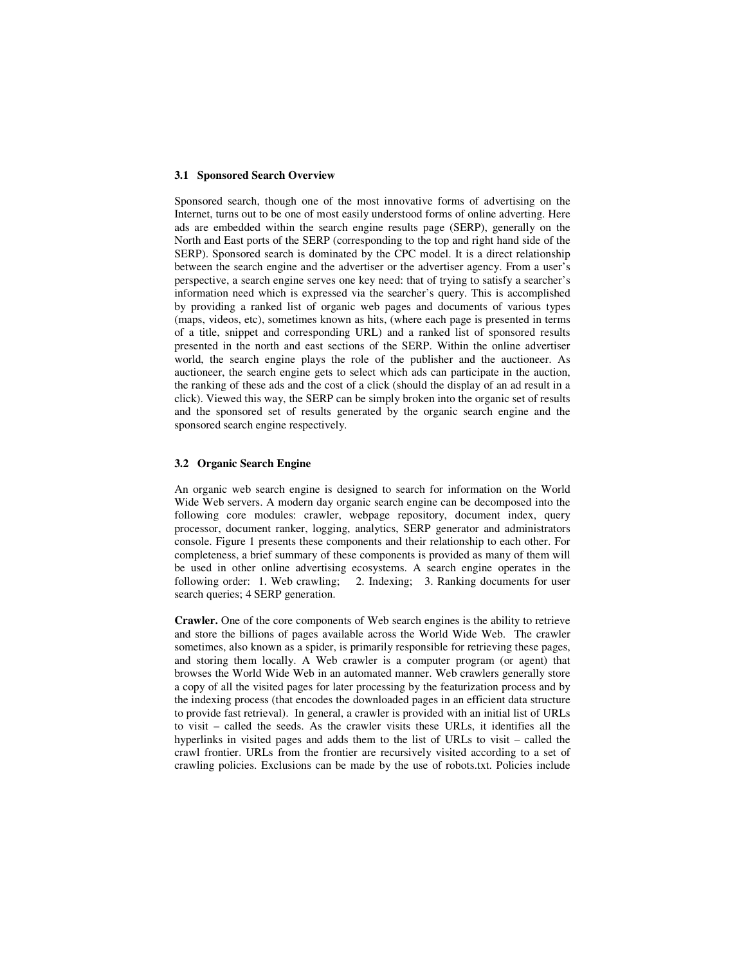#### **3.1 Sponsored Search Overview**

Sponsored search, though one of the most innovative forms of advertising on the Internet, turns out to be one of most easily understood forms of online adverting. Here ads are embedded within the search engine results page (SERP), generally on the North and East ports of the SERP (corresponding to the top and right hand side of the SERP). Sponsored search is dominated by the CPC model. It is a direct relationship between the search engine and the advertiser or the advertiser agency. From a user's perspective, a search engine serves one key need: that of trying to satisfy a searcher's information need which is expressed via the searcher's query. This is accomplished by providing a ranked list of organic web pages and documents of various types (maps, videos, etc), sometimes known as hits, (where each page is presented in terms of a title, snippet and corresponding URL) and a ranked list of sponsored results presented in the north and east sections of the SERP. Within the online advertiser world, the search engine plays the role of the publisher and the auctioneer. As auctioneer, the search engine gets to select which ads can participate in the auction, the ranking of these ads and the cost of a click (should the display of an ad result in a click). Viewed this way, the SERP can be simply broken into the organic set of results and the sponsored set of results generated by the organic search engine and the sponsored search engine respectively.

## **3.2 Organic Search Engine**

An organic web search engine is designed to search for information on the World Wide Web servers. A modern day organic search engine can be decomposed into the following core modules: crawler, webpage repository, document index, query processor, document ranker, logging, analytics, SERP generator and administrators console. Figure 1 presents these components and their relationship to each other. For completeness, a brief summary of these components is provided as many of them will be used in other online advertising ecosystems. A search engine operates in the following order: 1. Web crawling; 2. Indexing; 3. Ranking documents for user search queries; 4 SERP generation.

**Crawler.** One of the core components of Web search engines is the ability to retrieve and store the billions of pages available across the World Wide Web. The crawler sometimes, also known as a spider, is primarily responsible for retrieving these pages, and storing them locally. A Web crawler is a computer program (or agent) that browses the World Wide Web in an automated manner. Web crawlers generally store a copy of all the visited pages for later processing by the featurization process and by the indexing process (that encodes the downloaded pages in an efficient data structure to provide fast retrieval). In general, a crawler is provided with an initial list of URLs to visit – called the seeds. As the crawler visits these URLs, it identifies all the hyperlinks in visited pages and adds them to the list of URLs to visit – called the crawl frontier. URLs from the frontier are recursively visited according to a set of crawling policies. Exclusions can be made by the use of robots.txt. Policies include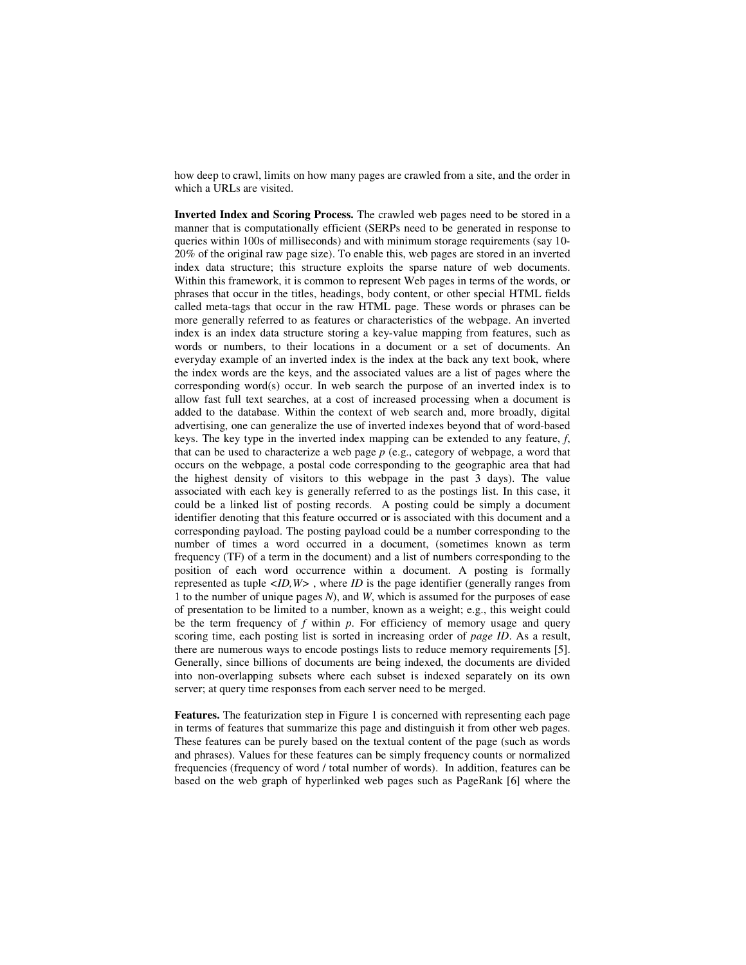how deep to crawl, limits on how many pages are crawled from a site, and the order in which a URLs are visited.

**Inverted Index and Scoring Process.** The crawled web pages need to be stored in a manner that is computationally efficient (SERPs need to be generated in response to queries within 100s of milliseconds) and with minimum storage requirements (say 10- 20% of the original raw page size). To enable this, web pages are stored in an inverted index data structure; this structure exploits the sparse nature of web documents. Within this framework, it is common to represent Web pages in terms of the words, or phrases that occur in the titles, headings, body content, or other special HTML fields called meta-tags that occur in the raw HTML page. These words or phrases can be more generally referred to as features or characteristics of the webpage. An inverted index is an index data structure storing a key-value mapping from features, such as words or numbers, to their locations in a document or a set of documents. An everyday example of an inverted index is the index at the back any text book, where the index words are the keys, and the associated values are a list of pages where the corresponding word(s) occur. In web search the purpose of an inverted index is to allow fast full text searches, at a cost of increased processing when a document is added to the database. Within the context of web search and, more broadly, digital advertising, one can generalize the use of inverted indexes beyond that of word-based keys. The key type in the inverted index mapping can be extended to any feature, *f*, that can be used to characterize a web page *p* (e.g., category of webpage, a word that occurs on the webpage, a postal code corresponding to the geographic area that had the highest density of visitors to this webpage in the past 3 days). The value associated with each key is generally referred to as the postings list. In this case, it could be a linked list of posting records. A posting could be simply a document identifier denoting that this feature occurred or is associated with this document and a corresponding payload. The posting payload could be a number corresponding to the number of times a word occurred in a document, (sometimes known as term frequency (TF) of a term in the document) and a list of numbers corresponding to the position of each word occurrence within a document. A posting is formally represented as tuple *<ID,W>* , where *ID* is the page identifier (generally ranges from 1 to the number of unique pages *N*), and *W*, which is assumed for the purposes of ease of presentation to be limited to a number, known as a weight; e.g., this weight could be the term frequency of *f* within *p*. For efficiency of memory usage and query scoring time, each posting list is sorted in increasing order of *page ID*. As a result, there are numerous ways to encode postings lists to reduce memory requirements [5]. Generally, since billions of documents are being indexed, the documents are divided into non-overlapping subsets where each subset is indexed separately on its own server; at query time responses from each server need to be merged.

**Features.** The featurization step in Figure 1 is concerned with representing each page in terms of features that summarize this page and distinguish it from other web pages. These features can be purely based on the textual content of the page (such as words and phrases). Values for these features can be simply frequency counts or normalized frequencies (frequency of word / total number of words). In addition, features can be based on the web graph of hyperlinked web pages such as PageRank [6] where the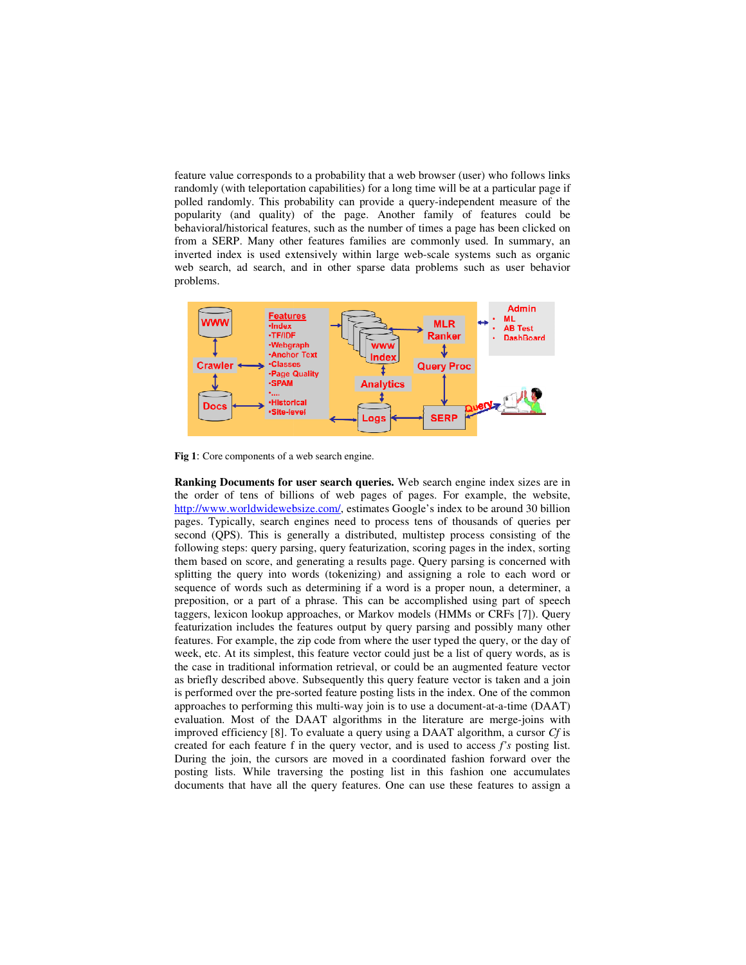feature value corresponds to a probability that a web browser (user) who follows links randomly (with teleportation capabilities) for a long time will be at a particular page polled randomly. This probability can provide a query-independent measure of the popularity (and quality) of the page. Another family of features could be popularity (and quality) of the page. Another family of features could be behavioral/historical features, such as the number of times a page has been clicked on from a SERP. Many other features families are commonly used. In summary, an inverted index is used extensively within large web-scale systems such as organic web search, ad search, and in other sparse data problems such as user behavior problems.



**Fig 1**: Core components of a web search engine.

Ranking Documents for user search queries. Web search engine index sizes are in the order of tens of billions of web pages of pages. For example, the website, http://www.worldwidewebsize.com/, estimates Google's index to be around 30 billion pages. Typically, search engines need to process tens of thousands of queries per pages. Typically, search engines need to process tens of thousands of queries per second (QPS). This is generally a distributed, multistep process consisting of the following steps: query parsing, query featurization, scoring pages in the index, sorting following steps: query parsing, query featurization, scoring pages in the index, sorting them based on score, and generating a results page. Query parsing is concerned with splitting the query into words (tokenizing) and assigning a role to each word or sequence of words such as determining if a word is a proper noun, a determiner, a preposition, or a part of a phrase. This can be accomplishe sequence of words such as determining if a word is a proper noun, a determiner, a preposition, or a part of a phrase. This can be accomplished using part of speech taggers, lexicon lookup approaches, or Markov models (HMMs or CRFs [7]). Query featurization includes the features output by query parsing and possibly many other features. For example, the zip code from where the user typed the query, or the day of week, etc. At its simplest, this feature vector could just be a list of query words, as is the case in traditional information retrieval, or could be an augmented feature vector as briefly described above. Subsequently this query feature vector is taken and a join is performed over the pre-sorted feature posting lists in the index. One of the common approaches to performing this multi-way join is to use a document-at-a-time (DAAT) evaluation. Most of the DAAT algorithms in the literature are merge-joins with improved efficiency [8]. To evaluate a query using a DAAT algorithm, a cursor *Cf* created for each feature f in the query vector, and is used to access  $f$ 's posting list. During the join, the cursors are moved in a coordinated fashion forward over the posting lists. While traversing the posting list in this fashion one accumulates documents that have all the query features. One can use these features to assign a est, this feature vector could just be a list of query words, as is information retrieval, or could be an augmented feature vector ove. Subsequently this query feature vector is taken and a join a long time will be at a particular page if<br>
a long time will be a query-independent measure of the<br>
a query-independent measure of the<br>
beher of times a page has been clicked on<br>
a ere commonly used. In summary, an<br>
a ca a phrase. This can be accomplished using part of speech proaches, or Markov models (HMMs or CRFs [7]). Query features output by query parsing and possibly many other zip code from where the user typed the query, or the day time (DAAT)<br>ge-joins with<br>a cursor  $Cf$  is  $\frac{1}{s}$  access  $f's$  posting list.<br>hion forward over the<br>hion one accumulates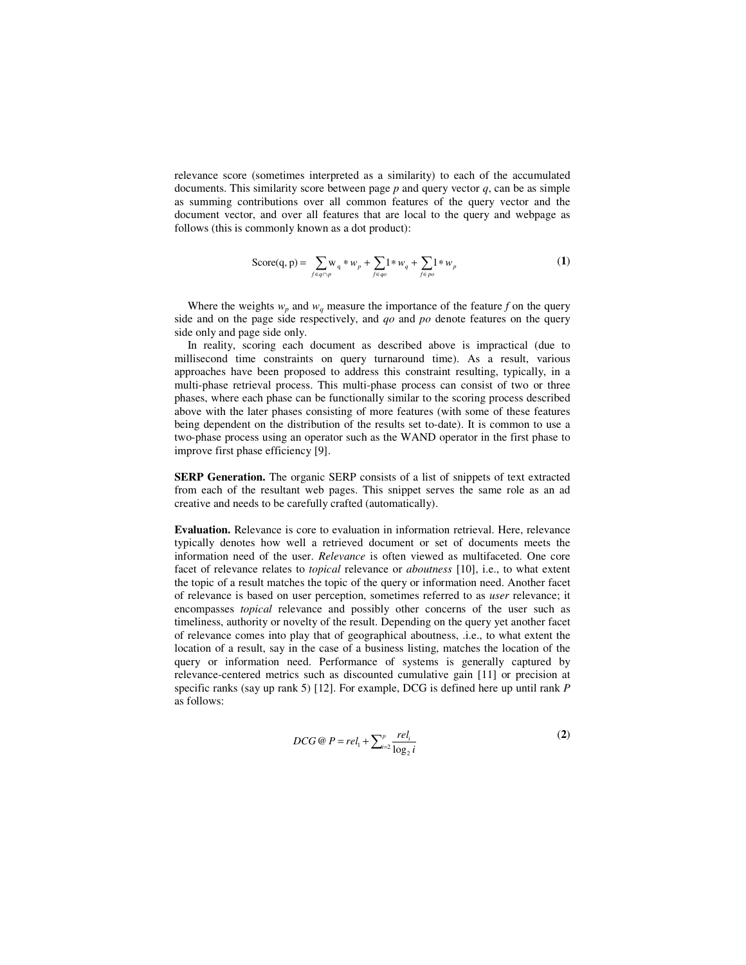relevance score (sometimes interpreted as a similarity) to each of the accumulated documents. This similarity score between page  $p$  and query vector  $q$ , can be as simple as summing contributions over all common features of the query vector and the document vector, and over all features that are local to the query and webpage as follows (this is commonly known as a dot product):

$$
Score(q, p) = \sum_{f \in q \cap p} w_q * w_p + \sum_{f \in qo} 1 * w_q + \sum_{f \in po} 1 * w_p \tag{1}
$$

Where the weights  $w_p$  and  $w_q$  measure the importance of the feature f on the query side and on the page side respectively, and *qo* and *po* denote features on the query side only and page side only.

In reality, scoring each document as described above is impractical (due to millisecond time constraints on query turnaround time). As a result, various approaches have been proposed to address this constraint resulting, typically, in a multi-phase retrieval process. This multi-phase process can consist of two or three phases, where each phase can be functionally similar to the scoring process described above with the later phases consisting of more features (with some of these features being dependent on the distribution of the results set to-date). It is common to use a two-phase process using an operator such as the WAND operator in the first phase to improve first phase efficiency [9].

**SERP Generation.** The organic SERP consists of a list of snippets of text extracted from each of the resultant web pages. This snippet serves the same role as an ad creative and needs to be carefully crafted (automatically).

**Evaluation.** Relevance is core to evaluation in information retrieval. Here, relevance typically denotes how well a retrieved document or set of documents meets the information need of the user. *Relevance* is often viewed as multifaceted. One core facet of relevance relates to *topical* relevance or *aboutness* [10], i.e., to what extent the topic of a result matches the topic of the query or information need. Another facet of relevance is based on user perception, sometimes referred to as *user* relevance; it encompasses *topical* relevance and possibly other concerns of the user such as timeliness, authority or novelty of the result. Depending on the query yet another facet of relevance comes into play that of geographical aboutness, .i.e., to what extent the location of a result, say in the case of a business listing, matches the location of the query or information need. Performance of systems is generally captured by relevance-centered metrics such as discounted cumulative gain [11] or precision at specific ranks (say up rank 5) [12]. For example, DCG is defined here up until rank *P*  as follows:

$$
DCG @ P = rel_1 + \sum_{i=2}^{p} \frac{rel_i}{\log_2 i}
$$
 (2)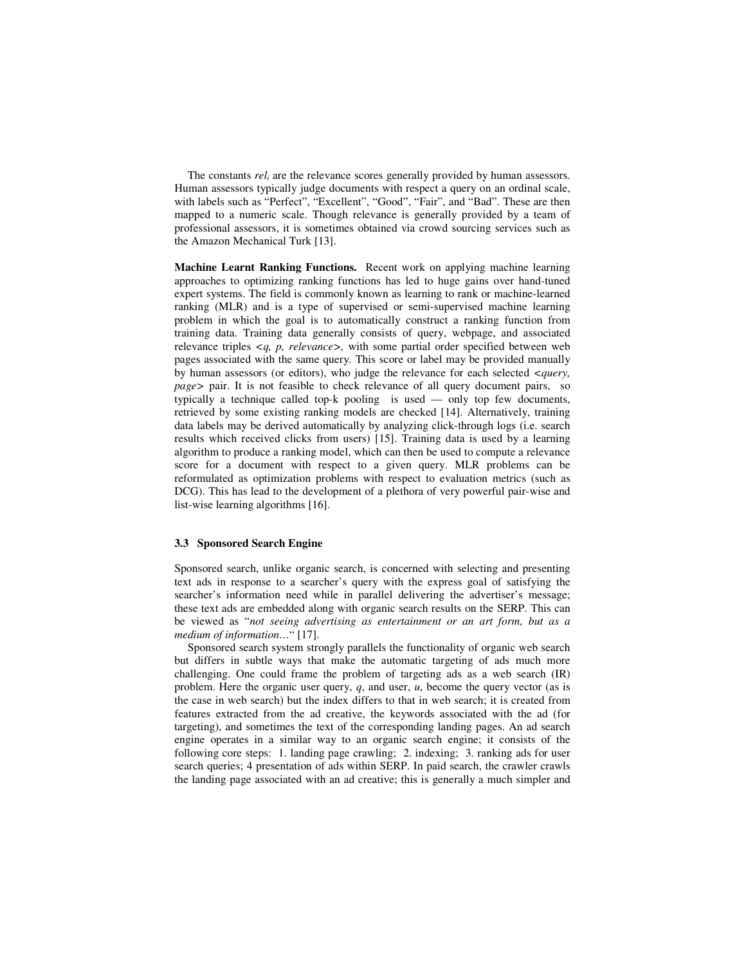The constants *rel<sub>i</sub>* are the relevance scores generally provided by human assessors. Human assessors typically judge documents with respect a query on an ordinal scale, with labels such as "Perfect", "Excellent", "Good", "Fair", and "Bad". These are then mapped to a numeric scale. Though relevance is generally provided by a team of professional assessors, it is sometimes obtained via crowd sourcing services such as the Amazon Mechanical Turk [13].

**Machine Learnt Ranking Functions.** Recent work on applying machine learning approaches to optimizing ranking functions has led to huge gains over hand-tuned expert systems. The field is commonly known as learning to rank or machine-learned ranking (MLR) and is a type of supervised or semi-supervised machine learning problem in which the goal is to automatically construct a ranking function from training data. Training data generally consists of query, webpage, and associated relevance triples *<q, p, relevance>,* with some partial order specified between web pages associated with the same query. This score or label may be provided manually by human assessors (or editors), who judge the relevance for each selected *<query, page>* pair. It is not feasible to check relevance of all query document pairs, so typically a technique called top-k pooling is used — only top few documents, retrieved by some existing ranking models are checked [14]. Alternatively, training data labels may be derived automatically by analyzing click-through logs (i.e. search results which received clicks from users) [15]. Training data is used by a learning algorithm to produce a ranking model, which can then be used to compute a relevance score for a document with respect to a given query. MLR problems can be reformulated as optimization problems with respect to evaluation metrics (such as DCG). This has lead to the development of a plethora of very powerful pair-wise and list-wise learning algorithms [16].

## **3.3 Sponsored Search Engine**

Sponsored search, unlike organic search, is concerned with selecting and presenting text ads in response to a searcher's query with the express goal of satisfying the searcher's information need while in parallel delivering the advertiser's message; these text ads are embedded along with organic search results on the SERP. This can be viewed as "*not seeing advertising as entertainment or an art form, but as a medium of information…*" [17].

Sponsored search system strongly parallels the functionality of organic web search but differs in subtle ways that make the automatic targeting of ads much more challenging. One could frame the problem of targeting ads as a web search (IR) problem. Here the organic user query, *q*, and user, *u*, become the query vector (as is the case in web search) but the index differs to that in web search; it is created from features extracted from the ad creative, the keywords associated with the ad (for targeting), and sometimes the text of the corresponding landing pages. An ad search engine operates in a similar way to an organic search engine; it consists of the following core steps: 1. landing page crawling; 2. indexing; 3. ranking ads for user search queries; 4 presentation of ads within SERP. In paid search, the crawler crawls the landing page associated with an ad creative; this is generally a much simpler and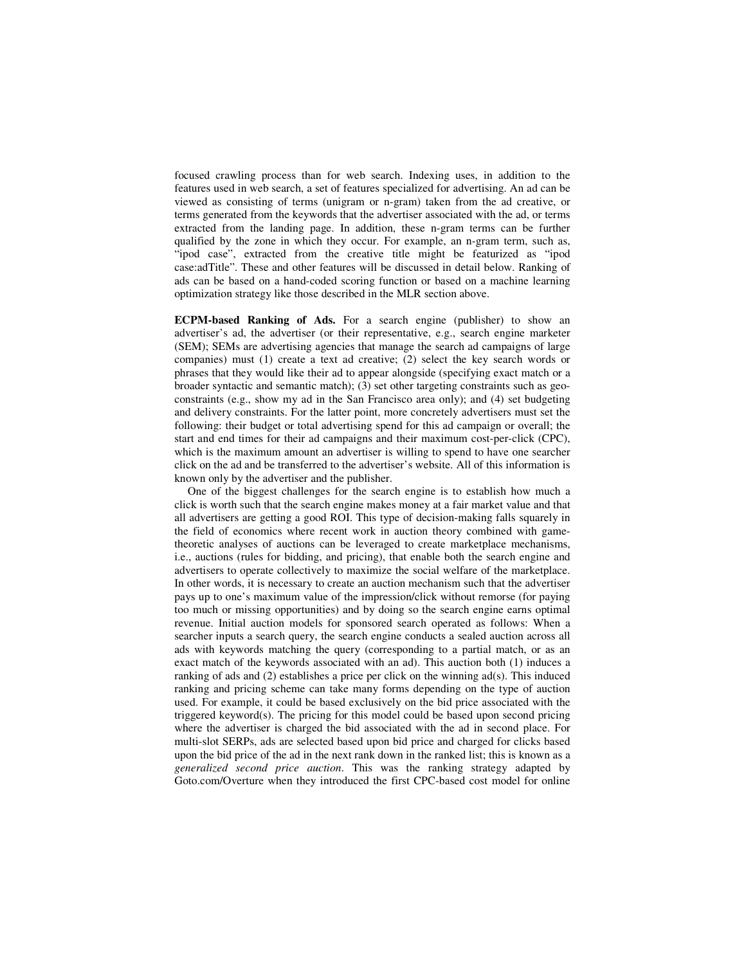focused crawling process than for web search. Indexing uses, in addition to the features used in web search, a set of features specialized for advertising. An ad can be viewed as consisting of terms (unigram or n-gram) taken from the ad creative, or terms generated from the keywords that the advertiser associated with the ad, or terms extracted from the landing page. In addition, these n-gram terms can be further qualified by the zone in which they occur. For example, an n-gram term, such as, "ipod case", extracted from the creative title might be featurized as "ipod case:adTitle". These and other features will be discussed in detail below. Ranking of ads can be based on a hand-coded scoring function or based on a machine learning optimization strategy like those described in the MLR section above.

**ECPM-based Ranking of Ads.** For a search engine (publisher) to show an advertiser's ad, the advertiser (or their representative, e.g., search engine marketer (SEM); SEMs are advertising agencies that manage the search ad campaigns of large companies) must (1) create a text ad creative; (2) select the key search words or phrases that they would like their ad to appear alongside (specifying exact match or a broader syntactic and semantic match); (3) set other targeting constraints such as geoconstraints (e.g., show my ad in the San Francisco area only); and (4) set budgeting and delivery constraints. For the latter point, more concretely advertisers must set the following: their budget or total advertising spend for this ad campaign or overall; the start and end times for their ad campaigns and their maximum cost-per-click (CPC), which is the maximum amount an advertiser is willing to spend to have one searcher click on the ad and be transferred to the advertiser's website. All of this information is known only by the advertiser and the publisher.

One of the biggest challenges for the search engine is to establish how much a click is worth such that the search engine makes money at a fair market value and that all advertisers are getting a good ROI. This type of decision-making falls squarely in the field of economics where recent work in auction theory combined with gametheoretic analyses of auctions can be leveraged to create marketplace mechanisms, i.e., auctions (rules for bidding, and pricing), that enable both the search engine and advertisers to operate collectively to maximize the social welfare of the marketplace. In other words, it is necessary to create an auction mechanism such that the advertiser pays up to one's maximum value of the impression/click without remorse (for paying too much or missing opportunities) and by doing so the search engine earns optimal revenue. Initial auction models for sponsored search operated as follows: When a searcher inputs a search query, the search engine conducts a sealed auction across all ads with keywords matching the query (corresponding to a partial match, or as an exact match of the keywords associated with an ad). This auction both (1) induces a ranking of ads and (2) establishes a price per click on the winning ad(s). This induced ranking and pricing scheme can take many forms depending on the type of auction used. For example, it could be based exclusively on the bid price associated with the triggered keyword(s). The pricing for this model could be based upon second pricing where the advertiser is charged the bid associated with the ad in second place. For multi-slot SERPs, ads are selected based upon bid price and charged for clicks based upon the bid price of the ad in the next rank down in the ranked list; this is known as a *generalized second price auction*. This was the ranking strategy adapted by Goto.com/Overture when they introduced the first CPC-based cost model for online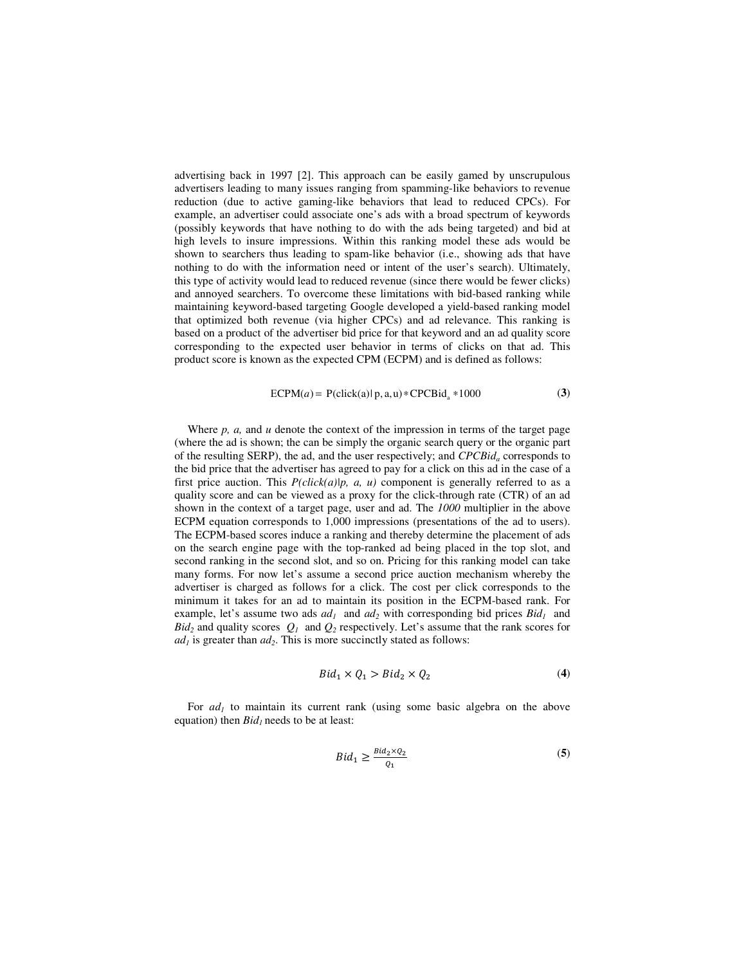advertising back in 1997 [2]. This approach can be easily gamed by unscrupulous advertisers leading to many issues ranging from spamming-like behaviors to revenue reduction (due to active gaming-like behaviors that lead to reduced CPCs). For example, an advertiser could associate one's ads with a broad spectrum of keywords (possibly keywords that have nothing to do with the ads being targeted) and bid at high levels to insure impressions. Within this ranking model these ads would be shown to searchers thus leading to spam-like behavior (i.e., showing ads that have nothing to do with the information need or intent of the user's search). Ultimately, this type of activity would lead to reduced revenue (since there would be fewer clicks) and annoyed searchers. To overcome these limitations with bid-based ranking while maintaining keyword-based targeting Google developed a yield-based ranking model that optimized both revenue (via higher CPCs) and ad relevance. This ranking is based on a product of the advertiser bid price for that keyword and an ad quality score corresponding to the expected user behavior in terms of clicks on that ad. This product score is known as the expected CPM (ECPM) and is defined as follows:

$$
ECPM(a) = P(click(a) | p, a, u) * CPCBid_a * 1000
$$
 (3)

Where *p*, *a*, and *u* denote the context of the impression in terms of the target page (where the ad is shown; the can be simply the organic search query or the organic part of the resulting SERP), the ad, and the user respectively; and *CPCBid<sup>a</sup>* corresponds to the bid price that the advertiser has agreed to pay for a click on this ad in the case of a first price auction. This  $P(click(a)|p, a, u)$  component is generally referred to as a quality score and can be viewed as a proxy for the click-through rate (CTR) of an ad shown in the context of a target page, user and ad. The *1000* multiplier in the above ECPM equation corresponds to 1,000 impressions (presentations of the ad to users). The ECPM-based scores induce a ranking and thereby determine the placement of ads on the search engine page with the top-ranked ad being placed in the top slot, and second ranking in the second slot, and so on. Pricing for this ranking model can take many forms. For now let's assume a second price auction mechanism whereby the advertiser is charged as follows for a click. The cost per click corresponds to the minimum it takes for an ad to maintain its position in the ECPM-based rank. For example, let's assume two ads  $ad_1$  and  $ad_2$  with corresponding bid prices  $Bid_1$  and *Bid*<sub>2</sub> and quality scores  $Q_l$  and  $Q_2$  respectively. Let's assume that the rank scores for *ad<sup>1</sup>* is greater than *ad2*. This is more succinctly stated as follows:

$$
Bid_1 \times Q_1 > Bid_2 \times Q_2 \tag{4}
$$

For  $ad<sub>1</sub>$  to maintain its current rank (using some basic algebra on the above equation) then *Bid1* needs to be at least:

$$
Bid_1 \ge \frac{Bid_2 \times Q_2}{Q_1} \tag{5}
$$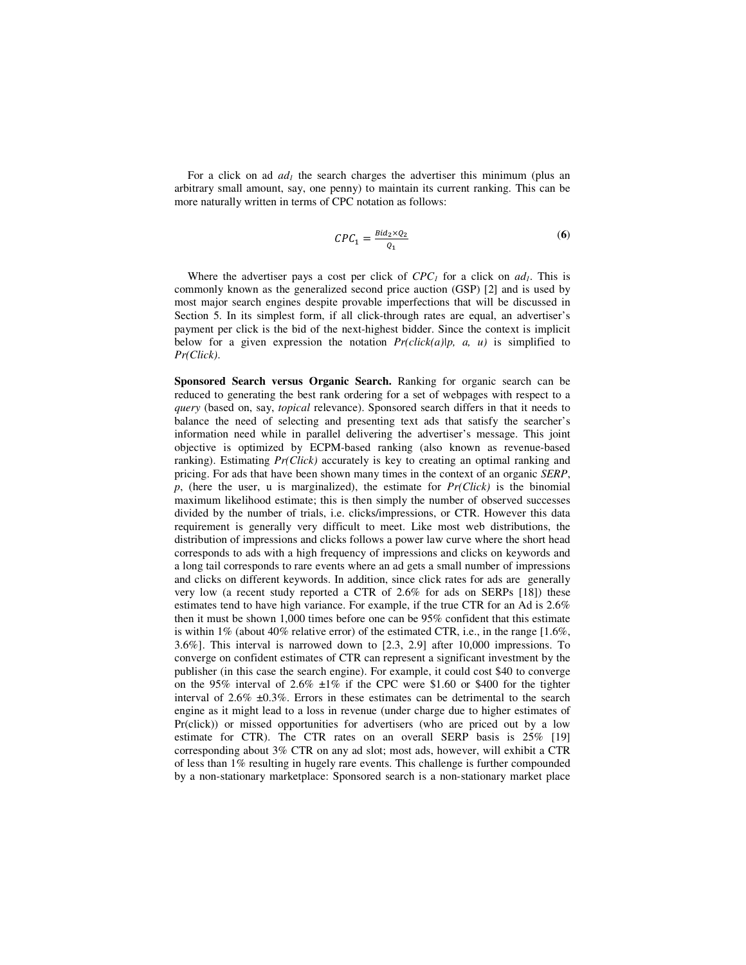For a click on ad  $ad<sub>1</sub>$  the search charges the advertiser this minimum (plus an arbitrary small amount, say, one penny) to maintain its current ranking. This can be more naturally written in terms of CPC notation as follows:

$$
CPC_1 = \frac{Bi d_2 \times Q_2}{Q_1} \tag{6}
$$

Where the advertiser pays a cost per click of  $CPC<sub>1</sub>$  for a click on  $ad<sub>1</sub>$ . This is commonly known as the generalized second price auction (GSP) [2] and is used by most major search engines despite provable imperfections that will be discussed in Section 5. In its simplest form, if all click-through rates are equal, an advertiser's payment per click is the bid of the next-highest bidder. Since the context is implicit below for a given expression the notation  $Pr(\text{click}(a)|p, a, u)$  is simplified to *Pr(Click)*.

**Sponsored Search versus Organic Search.** Ranking for organic search can be reduced to generating the best rank ordering for a set of webpages with respect to a *query* (based on, say, *topical* relevance). Sponsored search differs in that it needs to balance the need of selecting and presenting text ads that satisfy the searcher's information need while in parallel delivering the advertiser's message. This joint objective is optimized by ECPM-based ranking (also known as revenue-based ranking). Estimating *Pr(Click)* accurately is key to creating an optimal ranking and pricing. For ads that have been shown many times in the context of an organic *SERP*, *p*, (here the user, u is marginalized), the estimate for *Pr(Click)* is the binomial maximum likelihood estimate; this is then simply the number of observed successes divided by the number of trials, i.e. clicks/impressions, or CTR. However this data requirement is generally very difficult to meet. Like most web distributions, the distribution of impressions and clicks follows a power law curve where the short head corresponds to ads with a high frequency of impressions and clicks on keywords and a long tail corresponds to rare events where an ad gets a small number of impressions and clicks on different keywords. In addition, since click rates for ads are generally very low (a recent study reported a CTR of 2.6% for ads on SERPs [18]) these estimates tend to have high variance. For example, if the true CTR for an Ad is 2.6% then it must be shown 1,000 times before one can be 95% confident that this estimate is within  $1\%$  (about  $40\%$  relative error) of the estimated CTR, i.e., in the range [1.6%, 3.6%]. This interval is narrowed down to [2.3, 2.9] after 10,000 impressions. To converge on confident estimates of CTR can represent a significant investment by the publisher (in this case the search engine). For example, it could cost \$40 to converge on the 95% interval of 2.6%  $\pm 1\%$  if the CPC were \$1.60 or \$400 for the tighter interval of  $2.6\% \pm 0.3\%$ . Errors in these estimates can be detrimental to the search engine as it might lead to a loss in revenue (under charge due to higher estimates of Pr(click)) or missed opportunities for advertisers (who are priced out by a low estimate for CTR). The CTR rates on an overall SERP basis is 25% [19] corresponding about 3% CTR on any ad slot; most ads, however, will exhibit a CTR of less than 1% resulting in hugely rare events. This challenge is further compounded by a non-stationary marketplace: Sponsored search is a non-stationary market place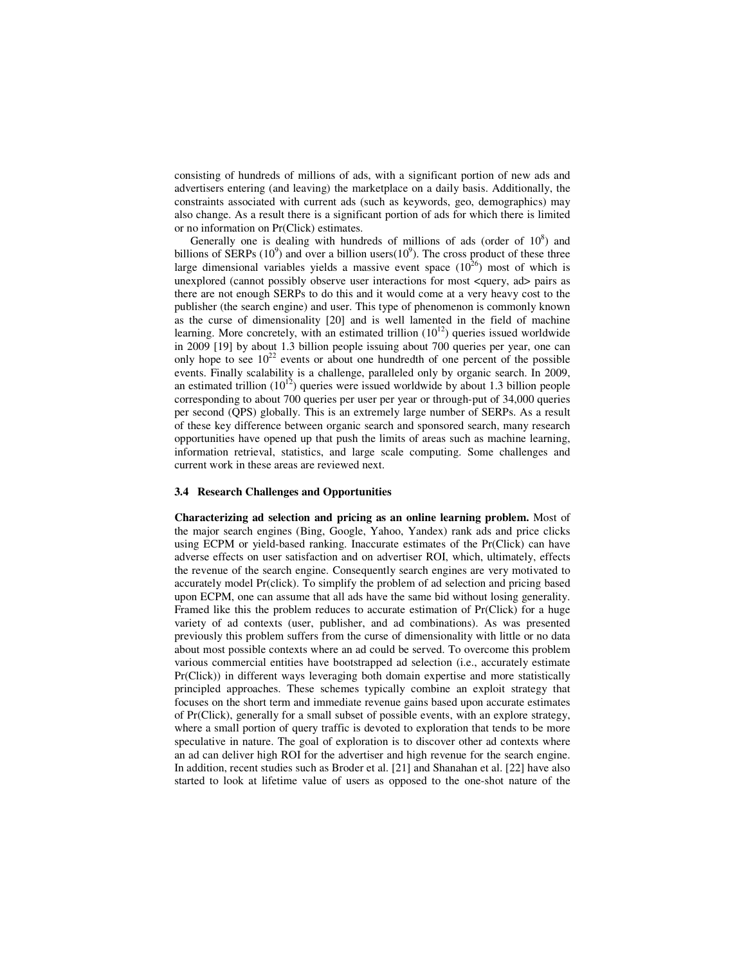consisting of hundreds of millions of ads, with a significant portion of new ads and advertisers entering (and leaving) the marketplace on a daily basis. Additionally, the constraints associated with current ads (such as keywords, geo, demographics) may also change. As a result there is a significant portion of ads for which there is limited or no information on Pr(Click) estimates.

Generally one is dealing with hundreds of millions of ads (order of  $10<sup>8</sup>$ ) and billions of SERPs (10<sup>9</sup>) and over a billion users (10<sup>9</sup>). The cross product of these three large dimensional variables yields a massive event space  $(10^{26})$  most of which is unexplored (cannot possibly observe user interactions for most <query, ad> pairs as there are not enough SERPs to do this and it would come at a very heavy cost to the publisher (the search engine) and user. This type of phenomenon is commonly known as the curse of dimensionality [20] and is well lamented in the field of machine learning. More concretely, with an estimated trillion  $(10^{12})$  queries issued worldwide in 2009 [19] by about 1.3 billion people issuing about 700 queries per year, one can only hope to see  $10^{22}$  events or about one hundredth of one percent of the possible events. Finally scalability is a challenge, paralleled only by organic search. In 2009, an estimated trillion  $(10^{12})$  queries were issued worldwide by about 1.3 billion people corresponding to about 700 queries per user per year or through-put of 34,000 queries per second (QPS) globally. This is an extremely large number of SERPs. As a result of these key difference between organic search and sponsored search, many research opportunities have opened up that push the limits of areas such as machine learning, information retrieval, statistics, and large scale computing. Some challenges and current work in these areas are reviewed next.

#### **3.4 Research Challenges and Opportunities**

**Characterizing ad selection and pricing as an online learning problem.** Most of the major search engines (Bing, Google, Yahoo, Yandex) rank ads and price clicks using ECPM or yield-based ranking. Inaccurate estimates of the Pr(Click) can have adverse effects on user satisfaction and on advertiser ROI, which, ultimately, effects the revenue of the search engine. Consequently search engines are very motivated to accurately model Pr(click). To simplify the problem of ad selection and pricing based upon ECPM, one can assume that all ads have the same bid without losing generality. Framed like this the problem reduces to accurate estimation of Pr(Click) for a huge variety of ad contexts (user, publisher, and ad combinations). As was presented previously this problem suffers from the curse of dimensionality with little or no data about most possible contexts where an ad could be served. To overcome this problem various commercial entities have bootstrapped ad selection (i.e., accurately estimate Pr(Click)) in different ways leveraging both domain expertise and more statistically principled approaches. These schemes typically combine an exploit strategy that focuses on the short term and immediate revenue gains based upon accurate estimates of Pr(Click), generally for a small subset of possible events, with an explore strategy, where a small portion of query traffic is devoted to exploration that tends to be more speculative in nature. The goal of exploration is to discover other ad contexts where an ad can deliver high ROI for the advertiser and high revenue for the search engine. In addition, recent studies such as Broder et al. [21] and Shanahan et al. [22] have also started to look at lifetime value of users as opposed to the one-shot nature of the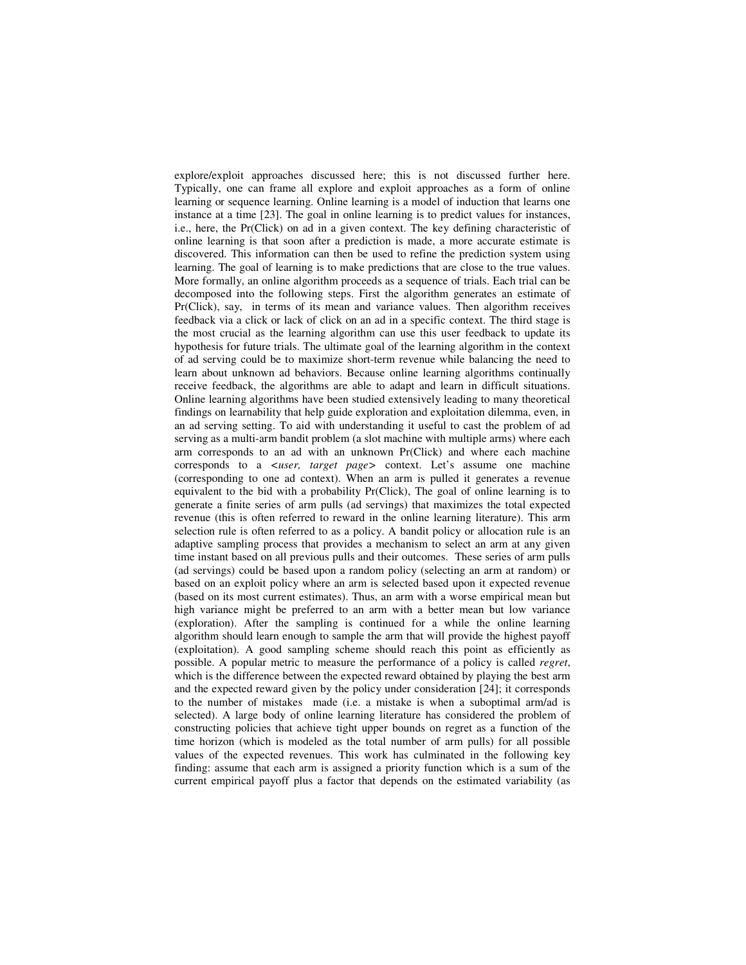explore/exploit approaches discussed here; this is not discussed further here. Typically, one can frame all explore and exploit approaches as a form of online learning or sequence learning. Online learning is a model of induction that learns one instance at a time [23]. The goal in online learning is to predict values for instances, i.e., here, the Pr(Click) on ad in a given context. The key defining characteristic of online learning is that soon after a prediction is made, a more accurate estimate is discovered. This information can then be used to refine the prediction system using learning. The goal of learning is to make predictions that are close to the true values. More formally, an online algorithm proceeds as a sequence of trials. Each trial can be decomposed into the following steps. First the algorithm generates an estimate of Pr(Click), say, in terms of its mean and variance values. Then algorithm receives feedback via a click or lack of click on an ad in a specific context. The third stage is the most crucial as the learning algorithm can use this user feedback to update its hypothesis for future trials. The ultimate goal of the learning algorithm in the context of ad serving could be to maximize short-term revenue while balancing the need to learn about unknown ad behaviors. Because online learning algorithms continually receive feedback, the algorithms are able to adapt and learn in difficult situations. Online learning algorithms have been studied extensively leading to many theoretical findings on learnability that help guide exploration and exploitation dilemma, even, in an ad serving setting. To aid with understanding it useful to cast the problem of ad serving as a multi-arm bandit problem (a slot machine with multiple arms) where each arm corresponds to an ad with an unknown Pr(Click) and where each machine corresponds to a *<user, target page>* context. Let's assume one machine (corresponding to one ad context). When an arm is pulled it generates a revenue equivalent to the bid with a probability Pr(Click), The goal of online learning is to generate a finite series of arm pulls (ad servings) that maximizes the total expected revenue (this is often referred to reward in the online learning literature). This arm selection rule is often referred to as a policy. A bandit policy or allocation rule is an adaptive sampling process that provides a mechanism to select an arm at any given time instant based on all previous pulls and their outcomes. These series of arm pulls (ad servings) could be based upon a random policy (selecting an arm at random) or based on an exploit policy where an arm is selected based upon it expected revenue (based on its most current estimates). Thus, an arm with a worse empirical mean but high variance might be preferred to an arm with a better mean but low variance (exploration). After the sampling is continued for a while the online learning algorithm should learn enough to sample the arm that will provide the highest payoff (exploitation). A good sampling scheme should reach this point as efficiently as possible. A popular metric to measure the performance of a policy is called *regret*, which is the difference between the expected reward obtained by playing the best arm and the expected reward given by the policy under consideration [24]; it corresponds to the number of mistakes made (i.e. a mistake is when a suboptimal arm/ad is selected). A large body of online learning literature has considered the problem of constructing policies that achieve tight upper bounds on regret as a function of the time horizon (which is modeled as the total number of arm pulls) for all possible values of the expected revenues. This work has culminated in the following key finding: assume that each arm is assigned a priority function which is a sum of the current empirical payoff plus a factor that depends on the estimated variability (as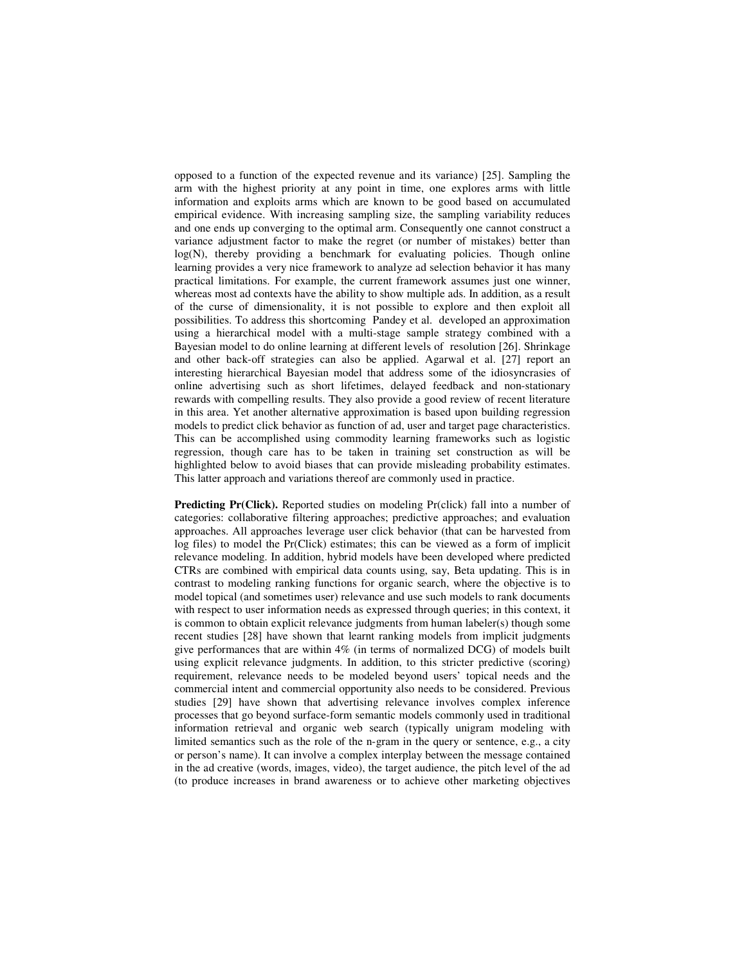opposed to a function of the expected revenue and its variance) [25]. Sampling the arm with the highest priority at any point in time, one explores arms with little information and exploits arms which are known to be good based on accumulated empirical evidence. With increasing sampling size, the sampling variability reduces and one ends up converging to the optimal arm. Consequently one cannot construct a variance adjustment factor to make the regret (or number of mistakes) better than log(N), thereby providing a benchmark for evaluating policies. Though online learning provides a very nice framework to analyze ad selection behavior it has many practical limitations. For example, the current framework assumes just one winner, whereas most ad contexts have the ability to show multiple ads. In addition, as a result of the curse of dimensionality, it is not possible to explore and then exploit all possibilities. To address this shortcoming Pandey et al. developed an approximation using a hierarchical model with a multi-stage sample strategy combined with a Bayesian model to do online learning at different levels of resolution [26]. Shrinkage and other back-off strategies can also be applied. Agarwal et al. [27] report an interesting hierarchical Bayesian model that address some of the idiosyncrasies of online advertising such as short lifetimes, delayed feedback and non-stationary rewards with compelling results. They also provide a good review of recent literature in this area. Yet another alternative approximation is based upon building regression models to predict click behavior as function of ad, user and target page characteristics. This can be accomplished using commodity learning frameworks such as logistic regression, though care has to be taken in training set construction as will be highlighted below to avoid biases that can provide misleading probability estimates. This latter approach and variations thereof are commonly used in practice.

**Predicting Pr(Click).** Reported studies on modeling Pr(click) fall into a number of categories: collaborative filtering approaches; predictive approaches; and evaluation approaches. All approaches leverage user click behavior (that can be harvested from log files) to model the Pr(Click) estimates; this can be viewed as a form of implicit relevance modeling. In addition, hybrid models have been developed where predicted CTRs are combined with empirical data counts using, say, Beta updating. This is in contrast to modeling ranking functions for organic search, where the objective is to model topical (and sometimes user) relevance and use such models to rank documents with respect to user information needs as expressed through queries; in this context, it is common to obtain explicit relevance judgments from human labeler(s) though some recent studies [28] have shown that learnt ranking models from implicit judgments give performances that are within 4% (in terms of normalized DCG) of models built using explicit relevance judgments. In addition, to this stricter predictive (scoring) requirement, relevance needs to be modeled beyond users' topical needs and the commercial intent and commercial opportunity also needs to be considered. Previous studies [29] have shown that advertising relevance involves complex inference processes that go beyond surface-form semantic models commonly used in traditional information retrieval and organic web search (typically unigram modeling with limited semantics such as the role of the n-gram in the query or sentence, e.g., a city or person's name). It can involve a complex interplay between the message contained in the ad creative (words, images, video), the target audience, the pitch level of the ad (to produce increases in brand awareness or to achieve other marketing objectives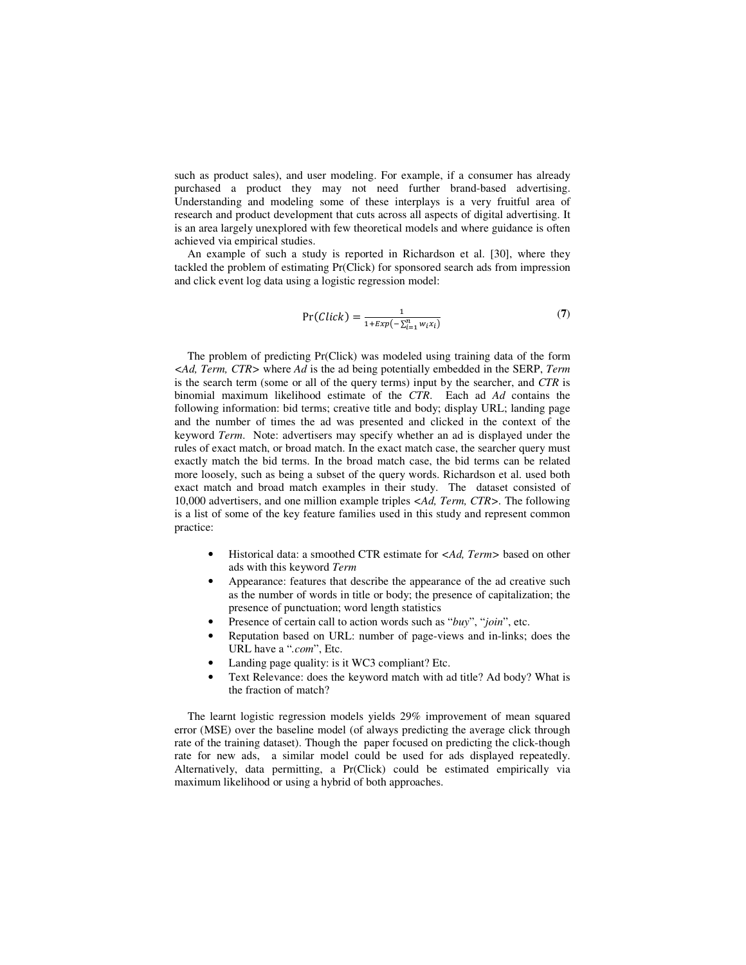such as product sales), and user modeling. For example, if a consumer has already purchased a product they may not need further brand-based advertising. Understanding and modeling some of these interplays is a very fruitful area of research and product development that cuts across all aspects of digital advertising. It is an area largely unexplored with few theoretical models and where guidance is often achieved via empirical studies.

An example of such a study is reported in Richardson et al. [30], where they tackled the problem of estimating Pr(Click) for sponsored search ads from impression and click event log data using a logistic regression model:

$$
Pr(Click) = \frac{1}{1+Exp(-\sum_{i=1}^{n} w_i x_i)}
$$
(7)

The problem of predicting Pr(Click) was modeled using training data of the form *<Ad, Term, CTR>* where *Ad* is the ad being potentially embedded in the SERP, *Term* is the search term (some or all of the query terms) input by the searcher, and *CTR* is binomial maximum likelihood estimate of the *CTR*. Each ad *Ad* contains the following information: bid terms; creative title and body; display URL; landing page and the number of times the ad was presented and clicked in the context of the keyword *Term*. Note: advertisers may specify whether an ad is displayed under the rules of exact match, or broad match. In the exact match case, the searcher query must exactly match the bid terms. In the broad match case, the bid terms can be related more loosely, such as being a subset of the query words. Richardson et al. used both exact match and broad match examples in their study. The dataset consisted of 10,000 advertisers, and one million example triples *<Ad, Term, CTR>.* The following is a list of some of the key feature families used in this study and represent common practice:

- Historical data: a smoothed CTR estimate for *<Ad, Term>* based on other ads with this keyword *Term*
- Appearance: features that describe the appearance of the ad creative such as the number of words in title or body; the presence of capitalization; the presence of punctuation; word length statistics
- Presence of certain call to action words such as "*buy*", "*join*", etc.
- Reputation based on URL: number of page-views and in-links; does the URL have a "*.com*", Etc.
- Landing page quality: is it WC3 compliant? Etc.
- Text Relevance: does the keyword match with ad title? Ad body? What is the fraction of match?

The learnt logistic regression models yields 29% improvement of mean squared error (MSE) over the baseline model (of always predicting the average click through rate of the training dataset). Though the paper focused on predicting the click-though rate for new ads, a similar model could be used for ads displayed repeatedly. Alternatively, data permitting, a Pr(Click) could be estimated empirically via maximum likelihood or using a hybrid of both approaches.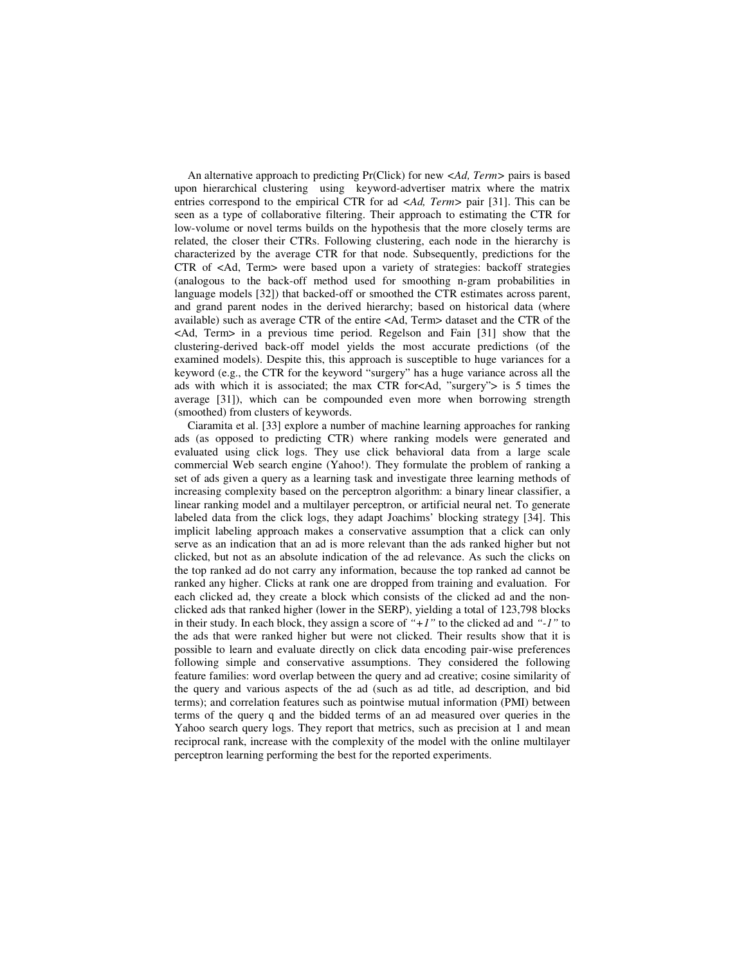An alternative approach to predicting Pr(Click) for new *<Ad, Term>* pairs is based upon hierarchical clustering using keyword-advertiser matrix where the matrix entries correspond to the empirical CTR for ad *<Ad, Term>* pair [31]. This can be seen as a type of collaborative filtering. Their approach to estimating the CTR for low-volume or novel terms builds on the hypothesis that the more closely terms are related, the closer their CTRs. Following clustering, each node in the hierarchy is characterized by the average CTR for that node. Subsequently, predictions for the CTR of <Ad, Term> were based upon a variety of strategies: backoff strategies (analogous to the back-off method used for smoothing n-gram probabilities in language models [32]) that backed-off or smoothed the CTR estimates across parent, and grand parent nodes in the derived hierarchy; based on historical data (where available) such as average CTR of the entire <Ad, Term> dataset and the CTR of the <Ad, Term> in a previous time period. Regelson and Fain [31] show that the clustering-derived back-off model yields the most accurate predictions (of the examined models). Despite this, this approach is susceptible to huge variances for a keyword (e.g., the CTR for the keyword "surgery" has a huge variance across all the ads with which it is associated; the max CTR for<Ad, "surgery"> is 5 times the average [31]), which can be compounded even more when borrowing strength (smoothed) from clusters of keywords.

Ciaramita et al. [33] explore a number of machine learning approaches for ranking ads (as opposed to predicting CTR) where ranking models were generated and evaluated using click logs. They use click behavioral data from a large scale commercial Web search engine (Yahoo!). They formulate the problem of ranking a set of ads given a query as a learning task and investigate three learning methods of increasing complexity based on the perceptron algorithm: a binary linear classifier, a linear ranking model and a multilayer perceptron, or artificial neural net. To generate labeled data from the click logs, they adapt Joachims' blocking strategy [34]. This implicit labeling approach makes a conservative assumption that a click can only serve as an indication that an ad is more relevant than the ads ranked higher but not clicked, but not as an absolute indication of the ad relevance. As such the clicks on the top ranked ad do not carry any information, because the top ranked ad cannot be ranked any higher. Clicks at rank one are dropped from training and evaluation. For each clicked ad, they create a block which consists of the clicked ad and the nonclicked ads that ranked higher (lower in the SERP), yielding a total of 123,798 blocks in their study. In each block, they assign a score of *"+1"* to the clicked ad and *"-1"* to the ads that were ranked higher but were not clicked. Their results show that it is possible to learn and evaluate directly on click data encoding pair-wise preferences following simple and conservative assumptions. They considered the following feature families: word overlap between the query and ad creative; cosine similarity of the query and various aspects of the ad (such as ad title, ad description, and bid terms); and correlation features such as pointwise mutual information (PMI) between terms of the query q and the bidded terms of an ad measured over queries in the Yahoo search query logs. They report that metrics, such as precision at 1 and mean reciprocal rank, increase with the complexity of the model with the online multilayer perceptron learning performing the best for the reported experiments.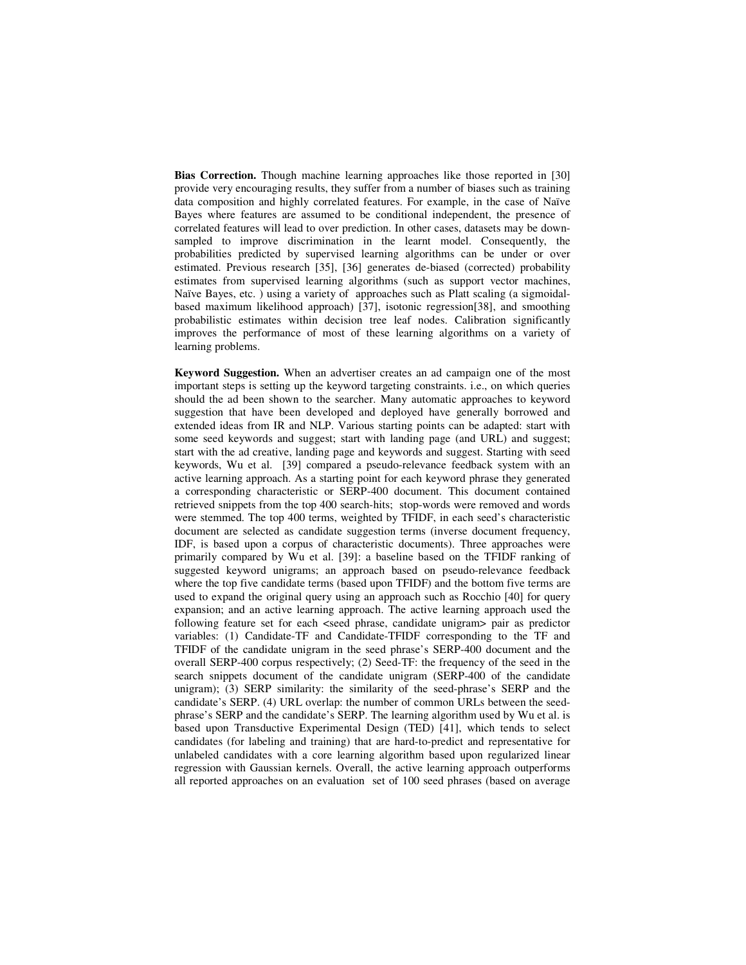**Bias Correction.** Though machine learning approaches like those reported in [30] provide very encouraging results, they suffer from a number of biases such as training data composition and highly correlated features. For example, in the case of Naïve Bayes where features are assumed to be conditional independent, the presence of correlated features will lead to over prediction. In other cases, datasets may be downsampled to improve discrimination in the learnt model. Consequently, the probabilities predicted by supervised learning algorithms can be under or over estimated. Previous research [35], [36] generates de-biased (corrected) probability estimates from supervised learning algorithms (such as support vector machines, Naïve Bayes, etc. ) using a variety of approaches such as Platt scaling (a sigmoidalbased maximum likelihood approach) [37], isotonic regression[38], and smoothing probabilistic estimates within decision tree leaf nodes. Calibration significantly improves the performance of most of these learning algorithms on a variety of learning problems.

**Keyword Suggestion.** When an advertiser creates an ad campaign one of the most important steps is setting up the keyword targeting constraints. i.e., on which queries should the ad been shown to the searcher. Many automatic approaches to keyword suggestion that have been developed and deployed have generally borrowed and extended ideas from IR and NLP. Various starting points can be adapted: start with some seed keywords and suggest; start with landing page (and URL) and suggest; start with the ad creative, landing page and keywords and suggest. Starting with seed keywords, Wu et al. [39] compared a pseudo-relevance feedback system with an active learning approach. As a starting point for each keyword phrase they generated a corresponding characteristic or SERP-400 document. This document contained retrieved snippets from the top 400 search-hits; stop-words were removed and words were stemmed. The top 400 terms, weighted by TFIDF, in each seed's characteristic document are selected as candidate suggestion terms (inverse document frequency, IDF, is based upon a corpus of characteristic documents). Three approaches were primarily compared by Wu et al. [39]: a baseline based on the TFIDF ranking of suggested keyword unigrams; an approach based on pseudo-relevance feedback where the top five candidate terms (based upon TFIDF) and the bottom five terms are used to expand the original query using an approach such as Rocchio [40] for query expansion; and an active learning approach. The active learning approach used the following feature set for each <seed phrase, candidate unigram> pair as predictor variables: (1) Candidate-TF and Candidate-TFIDF corresponding to the TF and TFIDF of the candidate unigram in the seed phrase's SERP-400 document and the overall SERP-400 corpus respectively; (2) Seed-TF: the frequency of the seed in the search snippets document of the candidate unigram (SERP-400 of the candidate unigram); (3) SERP similarity: the similarity of the seed-phrase's SERP and the candidate's SERP. (4) URL overlap: the number of common URLs between the seedphrase's SERP and the candidate's SERP. The learning algorithm used by Wu et al. is based upon Transductive Experimental Design (TED) [41], which tends to select candidates (for labeling and training) that are hard-to-predict and representative for unlabeled candidates with a core learning algorithm based upon regularized linear regression with Gaussian kernels. Overall, the active learning approach outperforms all reported approaches on an evaluation set of 100 seed phrases (based on average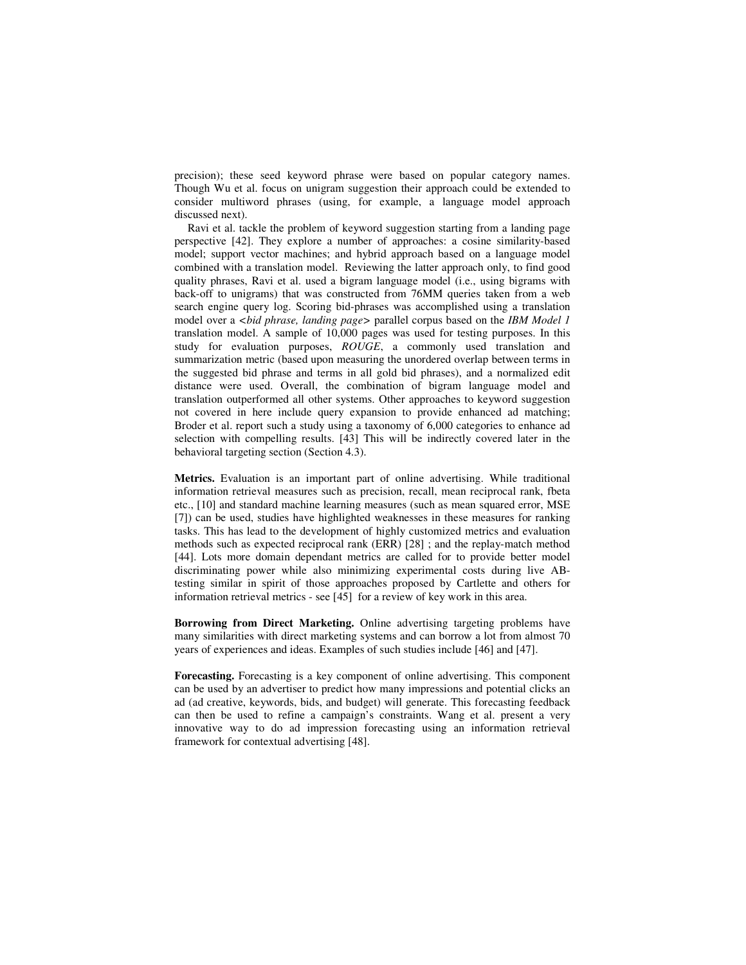precision); these seed keyword phrase were based on popular category names. Though Wu et al. focus on unigram suggestion their approach could be extended to consider multiword phrases (using, for example, a language model approach discussed next).

Ravi et al. tackle the problem of keyword suggestion starting from a landing page perspective [42]. They explore a number of approaches: a cosine similarity-based model; support vector machines; and hybrid approach based on a language model combined with a translation model. Reviewing the latter approach only, to find good quality phrases, Ravi et al. used a bigram language model (i.e., using bigrams with back-off to unigrams) that was constructed from 76MM queries taken from a web search engine query log. Scoring bid-phrases was accomplished using a translation model over a *<bid phrase, landing page>* parallel corpus based on the *IBM Model 1* translation model. A sample of 10,000 pages was used for testing purposes. In this study for evaluation purposes, *ROUGE*, a commonly used translation and summarization metric (based upon measuring the unordered overlap between terms in the suggested bid phrase and terms in all gold bid phrases), and a normalized edit distance were used. Overall, the combination of bigram language model and translation outperformed all other systems. Other approaches to keyword suggestion not covered in here include query expansion to provide enhanced ad matching; Broder et al. report such a study using a taxonomy of 6,000 categories to enhance ad selection with compelling results. [43] This will be indirectly covered later in the behavioral targeting section (Section 4.3).

**Metrics.** Evaluation is an important part of online advertising. While traditional information retrieval measures such as precision, recall, mean reciprocal rank, fbeta etc., [10] and standard machine learning measures (such as mean squared error, MSE [7]) can be used, studies have highlighted weaknesses in these measures for ranking tasks. This has lead to the development of highly customized metrics and evaluation methods such as expected reciprocal rank (ERR) [28] ; and the replay-match method [44]. Lots more domain dependant metrics are called for to provide better model discriminating power while also minimizing experimental costs during live ABtesting similar in spirit of those approaches proposed by Cartlette and others for information retrieval metrics - see [45] for a review of key work in this area.

**Borrowing from Direct Marketing.** Online advertising targeting problems have many similarities with direct marketing systems and can borrow a lot from almost 70 years of experiences and ideas. Examples of such studies include [46] and [47].

**Forecasting.** Forecasting is a key component of online advertising. This component can be used by an advertiser to predict how many impressions and potential clicks an ad (ad creative, keywords, bids, and budget) will generate. This forecasting feedback can then be used to refine a campaign's constraints. Wang et al. present a very innovative way to do ad impression forecasting using an information retrieval framework for contextual advertising [48].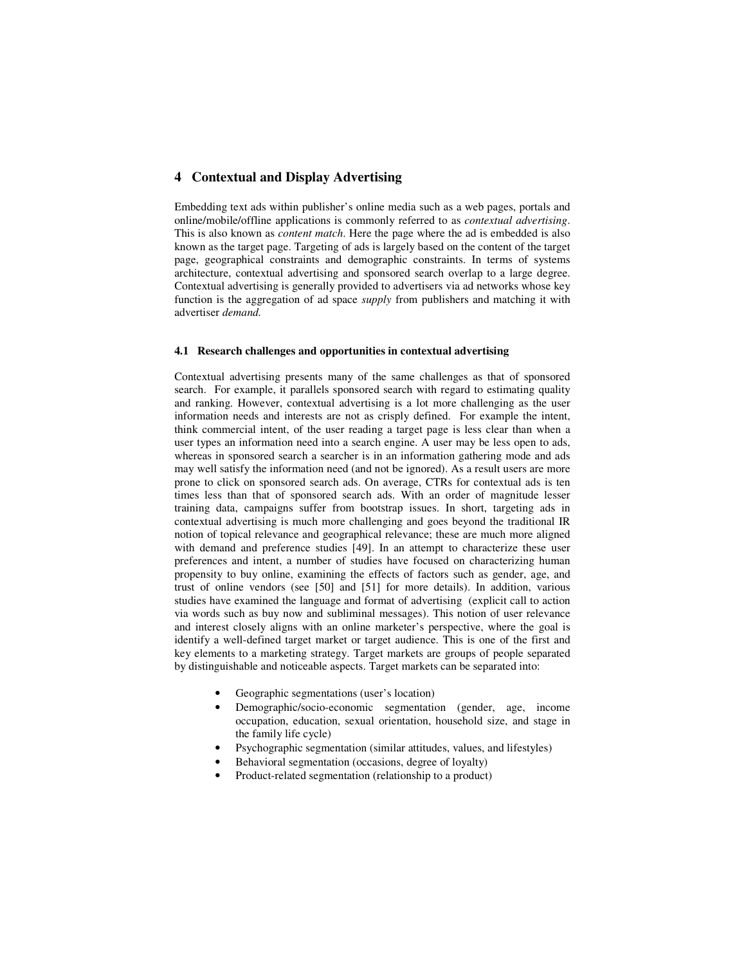# **4 Contextual and Display Advertising**

Embedding text ads within publisher's online media such as a web pages, portals and online/mobile/offline applications is commonly referred to as *contextual advertising*. This is also known as *content match*. Here the page where the ad is embedded is also known as the target page. Targeting of ads is largely based on the content of the target page, geographical constraints and demographic constraints. In terms of systems architecture, contextual advertising and sponsored search overlap to a large degree. Contextual advertising is generally provided to advertisers via ad networks whose key function is the aggregation of ad space *supply* from publishers and matching it with advertiser *demand.*

#### **4.1 Research challenges and opportunities in contextual advertising**

Contextual advertising presents many of the same challenges as that of sponsored search. For example, it parallels sponsored search with regard to estimating quality and ranking. However, contextual advertising is a lot more challenging as the user information needs and interests are not as crisply defined. For example the intent, think commercial intent, of the user reading a target page is less clear than when a user types an information need into a search engine. A user may be less open to ads, whereas in sponsored search a searcher is in an information gathering mode and ads may well satisfy the information need (and not be ignored). As a result users are more prone to click on sponsored search ads. On average, CTRs for contextual ads is ten times less than that of sponsored search ads. With an order of magnitude lesser training data, campaigns suffer from bootstrap issues. In short, targeting ads in contextual advertising is much more challenging and goes beyond the traditional IR notion of topical relevance and geographical relevance; these are much more aligned with demand and preference studies [49]. In an attempt to characterize these user preferences and intent, a number of studies have focused on characterizing human propensity to buy online, examining the effects of factors such as gender, age, and trust of online vendors (see [50] and [51] for more details). In addition, various studies have examined the language and format of advertising (explicit call to action via words such as buy now and subliminal messages). This notion of user relevance and interest closely aligns with an online marketer's perspective, where the goal is identify a well-defined target market or target audience. This is one of the first and key elements to a marketing strategy. Target markets are groups of people separated by distinguishable and noticeable aspects. Target markets can be separated into:

- Geographic segmentations (user's location)
- Demographic/socio-economic segmentation (gender, age, income occupation, education, sexual orientation, household size, and stage in the family life cycle)
- Psychographic segmentation (similar attitudes, values, and lifestyles)
- Behavioral segmentation (occasions, degree of loyalty)
- Product-related segmentation (relationship to a product)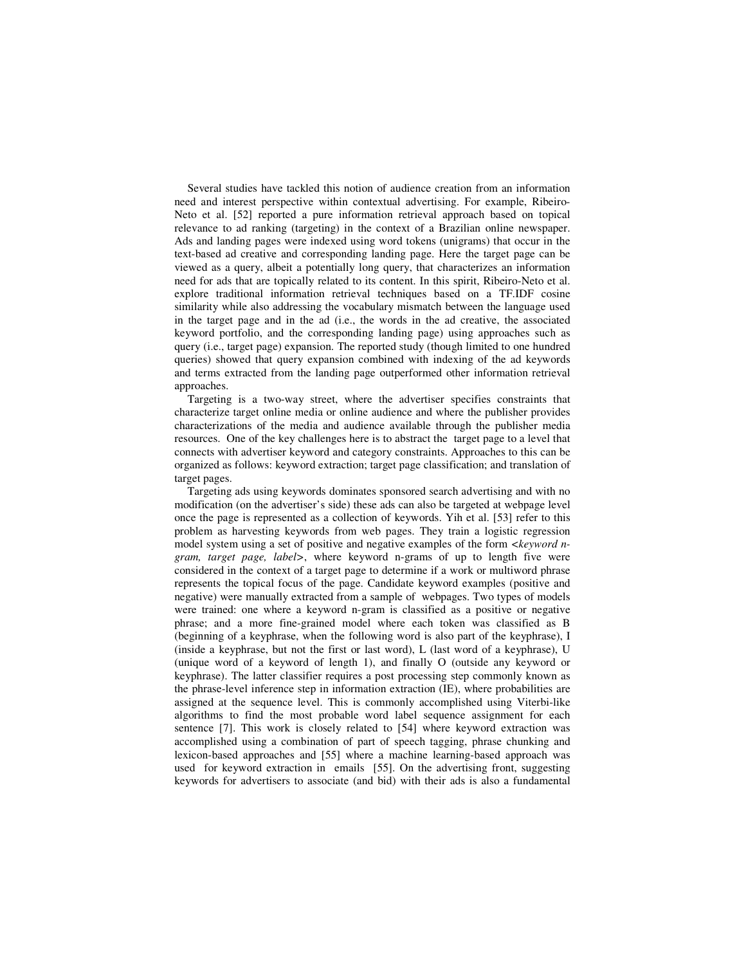Several studies have tackled this notion of audience creation from an information need and interest perspective within contextual advertising. For example, Ribeiro-Neto et al. [52] reported a pure information retrieval approach based on topical relevance to ad ranking (targeting) in the context of a Brazilian online newspaper. Ads and landing pages were indexed using word tokens (unigrams) that occur in the text-based ad creative and corresponding landing page. Here the target page can be viewed as a query, albeit a potentially long query, that characterizes an information need for ads that are topically related to its content. In this spirit, Ribeiro-Neto et al. explore traditional information retrieval techniques based on a TF.IDF cosine similarity while also addressing the vocabulary mismatch between the language used in the target page and in the ad (i.e., the words in the ad creative, the associated keyword portfolio, and the corresponding landing page) using approaches such as query (i.e., target page) expansion. The reported study (though limited to one hundred queries) showed that query expansion combined with indexing of the ad keywords and terms extracted from the landing page outperformed other information retrieval approaches.

Targeting is a two-way street, where the advertiser specifies constraints that characterize target online media or online audience and where the publisher provides characterizations of the media and audience available through the publisher media resources. One of the key challenges here is to abstract the target page to a level that connects with advertiser keyword and category constraints. Approaches to this can be organized as follows: keyword extraction; target page classification; and translation of target pages.

Targeting ads using keywords dominates sponsored search advertising and with no modification (on the advertiser's side) these ads can also be targeted at webpage level once the page is represented as a collection of keywords. Yih et al. [53] refer to this problem as harvesting keywords from web pages. They train a logistic regression model system using a set of positive and negative examples of the form *<keyword ngram, target page, label>*, where keyword n-grams of up to length five were considered in the context of a target page to determine if a work or multiword phrase represents the topical focus of the page. Candidate keyword examples (positive and negative) were manually extracted from a sample of webpages. Two types of models were trained: one where a keyword n-gram is classified as a positive or negative phrase; and a more fine-grained model where each token was classified as B (beginning of a keyphrase, when the following word is also part of the keyphrase), I (inside a keyphrase, but not the first or last word), L (last word of a keyphrase), U (unique word of a keyword of length 1), and finally O (outside any keyword or keyphrase). The latter classifier requires a post processing step commonly known as the phrase-level inference step in information extraction (IE), where probabilities are assigned at the sequence level. This is commonly accomplished using Viterbi-like algorithms to find the most probable word label sequence assignment for each sentence [7]. This work is closely related to [54] where keyword extraction was accomplished using a combination of part of speech tagging, phrase chunking and lexicon-based approaches and [55] where a machine learning-based approach was used for keyword extraction in emails [55]. On the advertising front, suggesting keywords for advertisers to associate (and bid) with their ads is also a fundamental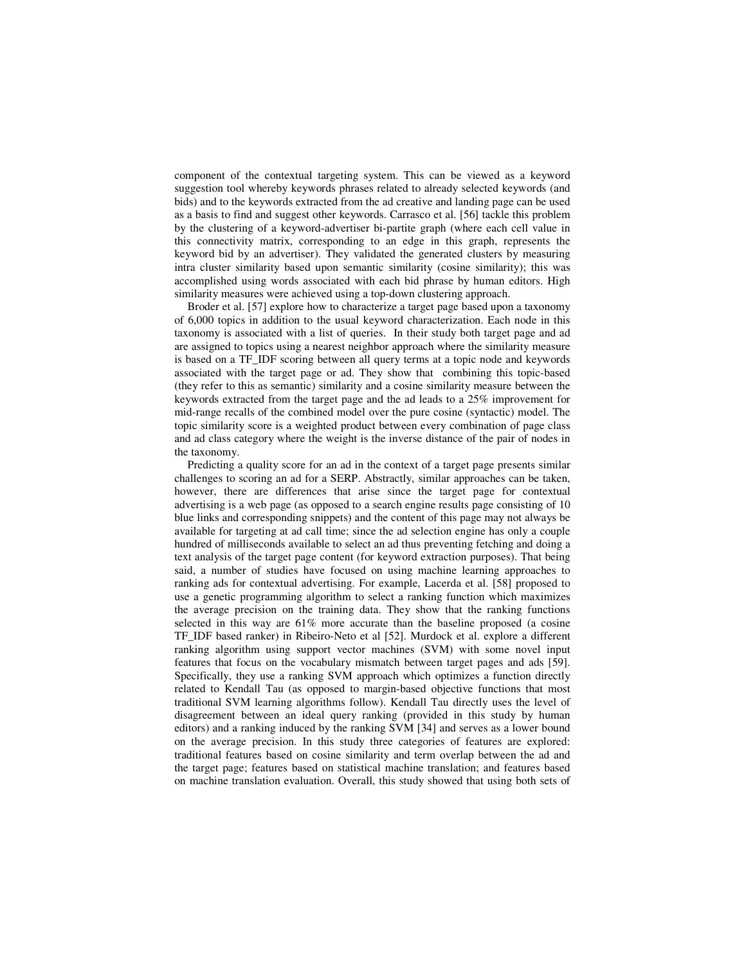component of the contextual targeting system. This can be viewed as a keyword suggestion tool whereby keywords phrases related to already selected keywords (and bids) and to the keywords extracted from the ad creative and landing page can be used as a basis to find and suggest other keywords. Carrasco et al. [56] tackle this problem by the clustering of a keyword-advertiser bi-partite graph (where each cell value in this connectivity matrix, corresponding to an edge in this graph, represents the keyword bid by an advertiser). They validated the generated clusters by measuring intra cluster similarity based upon semantic similarity (cosine similarity); this was accomplished using words associated with each bid phrase by human editors. High similarity measures were achieved using a top-down clustering approach.

Broder et al. [57] explore how to characterize a target page based upon a taxonomy of 6,000 topics in addition to the usual keyword characterization. Each node in this taxonomy is associated with a list of queries. In their study both target page and ad are assigned to topics using a nearest neighbor approach where the similarity measure is based on a TF\_IDF scoring between all query terms at a topic node and keywords associated with the target page or ad. They show that combining this topic-based (they refer to this as semantic) similarity and a cosine similarity measure between the keywords extracted from the target page and the ad leads to a 25% improvement for mid-range recalls of the combined model over the pure cosine (syntactic) model. The topic similarity score is a weighted product between every combination of page class and ad class category where the weight is the inverse distance of the pair of nodes in the taxonomy.

Predicting a quality score for an ad in the context of a target page presents similar challenges to scoring an ad for a SERP. Abstractly, similar approaches can be taken, however, there are differences that arise since the target page for contextual advertising is a web page (as opposed to a search engine results page consisting of 10 blue links and corresponding snippets) and the content of this page may not always be available for targeting at ad call time; since the ad selection engine has only a couple hundred of milliseconds available to select an ad thus preventing fetching and doing a text analysis of the target page content (for keyword extraction purposes). That being said, a number of studies have focused on using machine learning approaches to ranking ads for contextual advertising. For example, Lacerda et al. [58] proposed to use a genetic programming algorithm to select a ranking function which maximizes the average precision on the training data. They show that the ranking functions selected in this way are 61% more accurate than the baseline proposed (a cosine TF\_IDF based ranker) in Ribeiro-Neto et al [52]. Murdock et al. explore a different ranking algorithm using support vector machines (SVM) with some novel input features that focus on the vocabulary mismatch between target pages and ads [59]. Specifically, they use a ranking SVM approach which optimizes a function directly related to Kendall Tau (as opposed to margin-based objective functions that most traditional SVM learning algorithms follow). Kendall Tau directly uses the level of disagreement between an ideal query ranking (provided in this study by human editors) and a ranking induced by the ranking SVM [34] and serves as a lower bound on the average precision. In this study three categories of features are explored: traditional features based on cosine similarity and term overlap between the ad and the target page; features based on statistical machine translation; and features based on machine translation evaluation. Overall, this study showed that using both sets of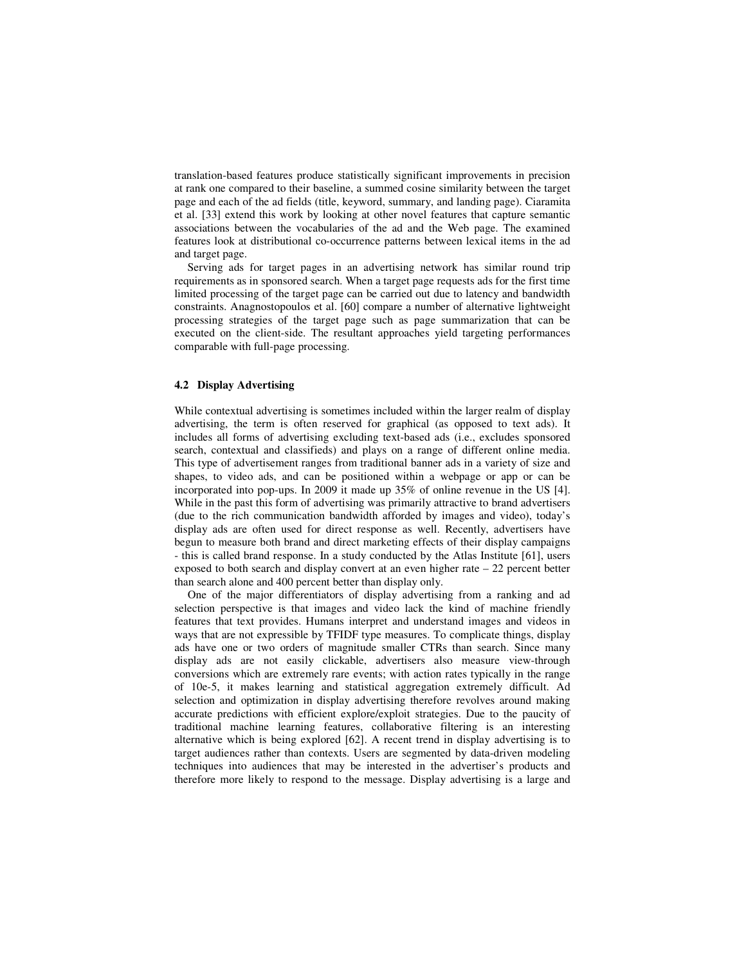translation-based features produce statistically significant improvements in precision at rank one compared to their baseline, a summed cosine similarity between the target page and each of the ad fields (title, keyword, summary, and landing page). Ciaramita et al. [33] extend this work by looking at other novel features that capture semantic associations between the vocabularies of the ad and the Web page. The examined features look at distributional co-occurrence patterns between lexical items in the ad and target page.

Serving ads for target pages in an advertising network has similar round trip requirements as in sponsored search. When a target page requests ads for the first time limited processing of the target page can be carried out due to latency and bandwidth constraints. Anagnostopoulos et al. [60] compare a number of alternative lightweight processing strategies of the target page such as page summarization that can be executed on the client-side. The resultant approaches yield targeting performances comparable with full-page processing.

#### **4.2 Display Advertising**

While contextual advertising is sometimes included within the larger realm of display advertising, the term is often reserved for graphical (as opposed to text ads). It includes all forms of advertising excluding text-based ads (i.e., excludes sponsored search, contextual and classifieds) and plays on a range of different online media. This type of advertisement ranges from traditional banner ads in a variety of size and shapes, to video ads, and can be positioned within a webpage or app or can be incorporated into pop-ups. In 2009 it made up 35% of online revenue in the US [4]. While in the past this form of advertising was primarily attractive to brand advertisers (due to the rich communication bandwidth afforded by images and video), today's display ads are often used for direct response as well. Recently, advertisers have begun to measure both brand and direct marketing effects of their display campaigns - this is called brand response. In a study conducted by the Atlas Institute [61], users exposed to both search and display convert at an even higher rate – 22 percent better than search alone and 400 percent better than display only.

One of the major differentiators of display advertising from a ranking and ad selection perspective is that images and video lack the kind of machine friendly features that text provides. Humans interpret and understand images and videos in ways that are not expressible by TFIDF type measures. To complicate things, display ads have one or two orders of magnitude smaller CTRs than search. Since many display ads are not easily clickable, advertisers also measure view-through conversions which are extremely rare events; with action rates typically in the range of 10e-5, it makes learning and statistical aggregation extremely difficult. Ad selection and optimization in display advertising therefore revolves around making accurate predictions with efficient explore/exploit strategies. Due to the paucity of traditional machine learning features, collaborative filtering is an interesting alternative which is being explored [62]. A recent trend in display advertising is to target audiences rather than contexts. Users are segmented by data-driven modeling techniques into audiences that may be interested in the advertiser's products and therefore more likely to respond to the message. Display advertising is a large and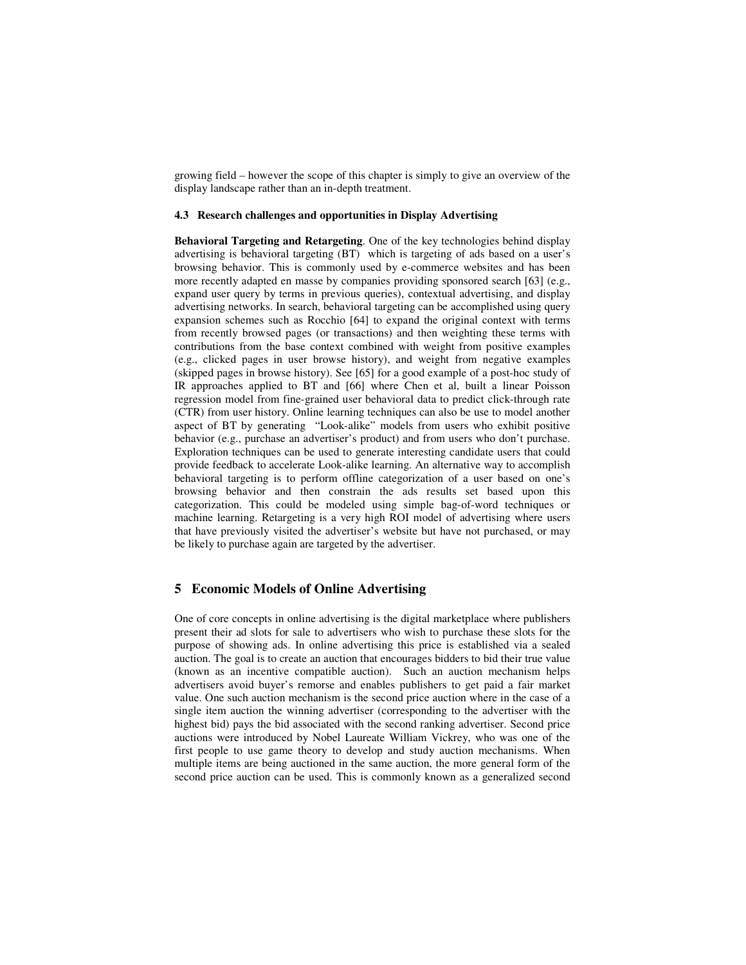growing field – however the scope of this chapter is simply to give an overview of the display landscape rather than an in-depth treatment.

## **4.3 Research challenges and opportunities in Display Advertising**

**Behavioral Targeting and Retargeting**. One of the key technologies behind display advertising is behavioral targeting (BT) which is targeting of ads based on a user's browsing behavior. This is commonly used by e-commerce websites and has been more recently adapted en masse by companies providing sponsored search [63] (e.g., expand user query by terms in previous queries), contextual advertising, and display advertising networks. In search, behavioral targeting can be accomplished using query expansion schemes such as Rocchio [64] to expand the original context with terms from recently browsed pages (or transactions) and then weighting these terms with contributions from the base context combined with weight from positive examples (e.g., clicked pages in user browse history), and weight from negative examples (skipped pages in browse history). See [65] for a good example of a post-hoc study of IR approaches applied to BT and [66] where Chen et al, built a linear Poisson regression model from fine-grained user behavioral data to predict click-through rate (CTR) from user history. Online learning techniques can also be use to model another aspect of BT by generating "Look-alike" models from users who exhibit positive behavior (e.g., purchase an advertiser's product) and from users who don't purchase. Exploration techniques can be used to generate interesting candidate users that could provide feedback to accelerate Look-alike learning. An alternative way to accomplish behavioral targeting is to perform offline categorization of a user based on one's browsing behavior and then constrain the ads results set based upon this categorization. This could be modeled using simple bag-of-word techniques or machine learning. Retargeting is a very high ROI model of advertising where users that have previously visited the advertiser's website but have not purchased, or may be likely to purchase again are targeted by the advertiser.

## **5 Economic Models of Online Advertising**

One of core concepts in online advertising is the digital marketplace where publishers present their ad slots for sale to advertisers who wish to purchase these slots for the purpose of showing ads. In online advertising this price is established via a sealed auction. The goal is to create an auction that encourages bidders to bid their true value (known as an incentive compatible auction). Such an auction mechanism helps advertisers avoid buyer's remorse and enables publishers to get paid a fair market value. One such auction mechanism is the second price auction where in the case of a single item auction the winning advertiser (corresponding to the advertiser with the highest bid) pays the bid associated with the second ranking advertiser. Second price auctions were introduced by Nobel Laureate William Vickrey, who was one of the first people to use game theory to develop and study auction mechanisms. When multiple items are being auctioned in the same auction, the more general form of the second price auction can be used. This is commonly known as a generalized second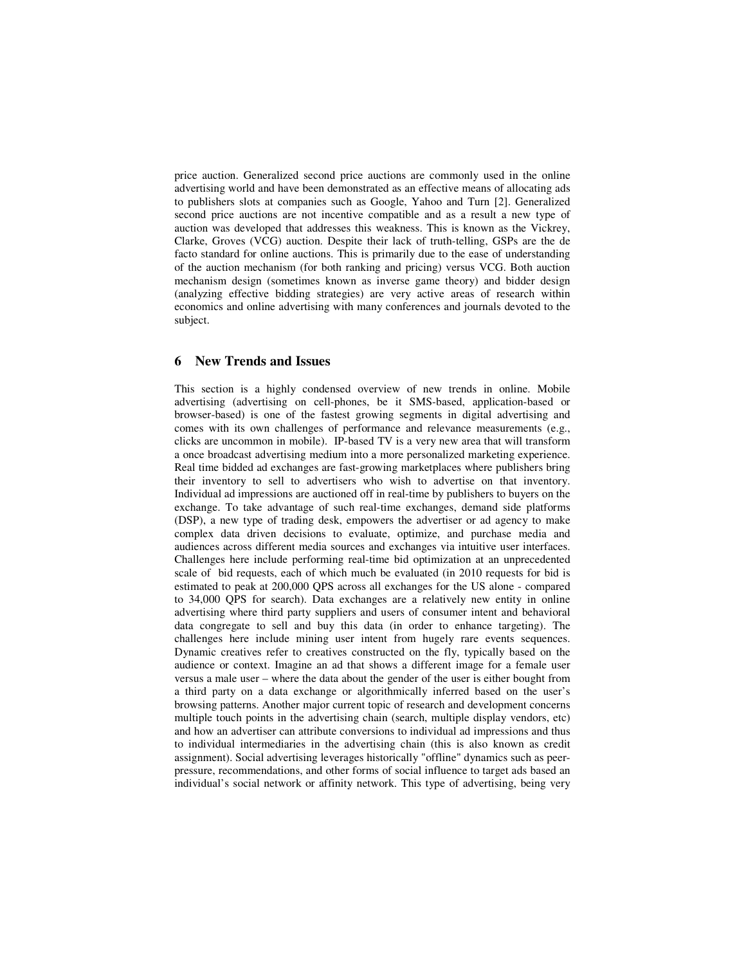price auction. Generalized second price auctions are commonly used in the online advertising world and have been demonstrated as an effective means of allocating ads to publishers slots at companies such as Google, Yahoo and Turn [2]. Generalized second price auctions are not incentive compatible and as a result a new type of auction was developed that addresses this weakness. This is known as the Vickrey, Clarke, Groves (VCG) auction. Despite their lack of truth-telling, GSPs are the de facto standard for online auctions. This is primarily due to the ease of understanding of the auction mechanism (for both ranking and pricing) versus VCG. Both auction mechanism design (sometimes known as inverse game theory) and bidder design (analyzing effective bidding strategies) are very active areas of research within economics and online advertising with many conferences and journals devoted to the subject.

# **6 New Trends and Issues**

This section is a highly condensed overview of new trends in online. Mobile advertising (advertising on cell-phones, be it SMS-based, application-based or browser-based) is one of the fastest growing segments in digital advertising and comes with its own challenges of performance and relevance measurements (e.g., clicks are uncommon in mobile). IP-based TV is a very new area that will transform a once broadcast advertising medium into a more personalized marketing experience. Real time bidded ad exchanges are fast-growing marketplaces where publishers bring their inventory to sell to advertisers who wish to advertise on that inventory. Individual ad impressions are auctioned off in real-time by publishers to buyers on the exchange. To take advantage of such real-time exchanges, demand side platforms (DSP), a new type of trading desk, empowers the advertiser or ad agency to make complex data driven decisions to evaluate, optimize, and purchase media and audiences across different media sources and exchanges via intuitive user interfaces. Challenges here include performing real-time bid optimization at an unprecedented scale of bid requests, each of which much be evaluated (in 2010 requests for bid is estimated to peak at 200,000 QPS across all exchanges for the US alone - compared to 34,000 QPS for search). Data exchanges are a relatively new entity in online advertising where third party suppliers and users of consumer intent and behavioral data congregate to sell and buy this data (in order to enhance targeting). The challenges here include mining user intent from hugely rare events sequences. Dynamic creatives refer to creatives constructed on the fly, typically based on the audience or context. Imagine an ad that shows a different image for a female user versus a male user – where the data about the gender of the user is either bought from a third party on a data exchange or algorithmically inferred based on the user's browsing patterns. Another major current topic of research and development concerns multiple touch points in the advertising chain (search, multiple display vendors, etc) and how an advertiser can attribute conversions to individual ad impressions and thus to individual intermediaries in the advertising chain (this is also known as credit assignment). Social advertising leverages historically "offline" dynamics such as peerpressure, recommendations, and other forms of social influence to target ads based an individual's social network or affinity network. This type of advertising, being very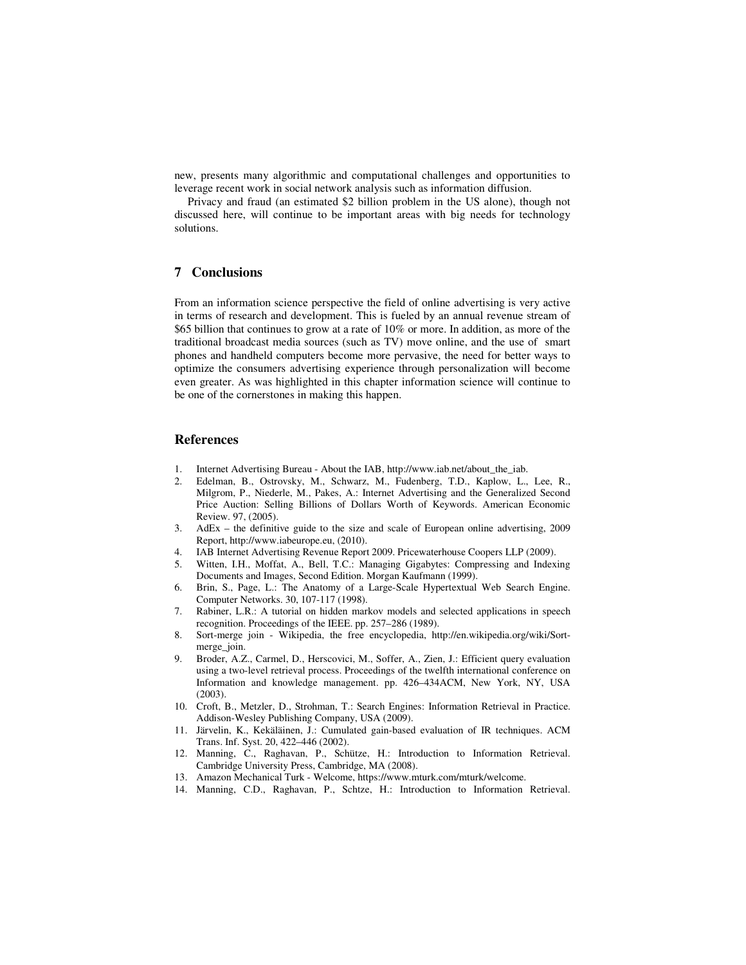new, presents many algorithmic and computational challenges and opportunities to leverage recent work in social network analysis such as information diffusion.

Privacy and fraud (an estimated \$2 billion problem in the US alone), though not discussed here, will continue to be important areas with big needs for technology solutions.

## **7 Conclusions**

From an information science perspective the field of online advertising is very active in terms of research and development. This is fueled by an annual revenue stream of \$65 billion that continues to grow at a rate of 10% or more. In addition, as more of the traditional broadcast media sources (such as TV) move online, and the use of smart phones and handheld computers become more pervasive, the need for better ways to optimize the consumers advertising experience through personalization will become even greater. As was highlighted in this chapter information science will continue to be one of the cornerstones in making this happen.

## **References**

- 1. Internet Advertising Bureau About the IAB, http://www.iab.net/about\_the\_iab.
- 2. Edelman, B., Ostrovsky, M., Schwarz, M., Fudenberg, T.D., Kaplow, L., Lee, R., Milgrom, P., Niederle, M., Pakes, A.: Internet Advertising and the Generalized Second Price Auction: Selling Billions of Dollars Worth of Keywords. American Economic Review. 97, (2005).
- 3. AdEx the definitive guide to the size and scale of European online advertising, 2009 Report, http://www.iabeurope.eu, (2010).
- 4. IAB Internet Advertising Revenue Report 2009. Pricewaterhouse Coopers LLP (2009).
- 5. Witten, I.H., Moffat, A., Bell, T.C.: Managing Gigabytes: Compressing and Indexing Documents and Images, Second Edition. Morgan Kaufmann (1999).
- 6. Brin, S., Page, L.: The Anatomy of a Large-Scale Hypertextual Web Search Engine. Computer Networks. 30, 107-117 (1998).
- 7. Rabiner, L.R.: A tutorial on hidden markov models and selected applications in speech recognition. Proceedings of the IEEE. pp. 257–286 (1989).
- 8. Sort-merge join Wikipedia, the free encyclopedia, http://en.wikipedia.org/wiki/Sortmerge\_join.
- 9. Broder, A.Z., Carmel, D., Herscovici, M., Soffer, A., Zien, J.: Efficient query evaluation using a two-level retrieval process. Proceedings of the twelfth international conference on Information and knowledge management. pp. 426–434ACM, New York, NY, USA (2003).
- 10. Croft, B., Metzler, D., Strohman, T.: Search Engines: Information Retrieval in Practice. Addison-Wesley Publishing Company, USA (2009).
- 11. Järvelin, K., Kekäläinen, J.: Cumulated gain-based evaluation of IR techniques. ACM Trans. Inf. Syst. 20, 422–446 (2002).
- 12. Manning, C., Raghavan, P., Schütze, H.: Introduction to Information Retrieval. Cambridge University Press, Cambridge, MA (2008).
- 13. Amazon Mechanical Turk Welcome, https://www.mturk.com/mturk/welcome.
- 14. Manning, C.D., Raghavan, P., Schtze, H.: Introduction to Information Retrieval.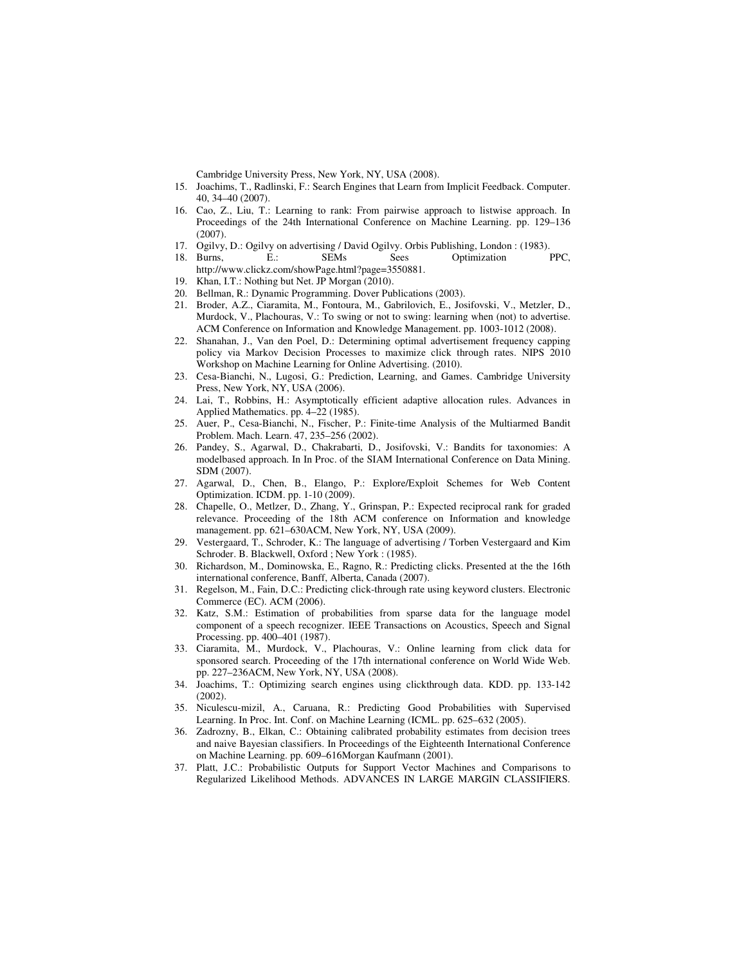Cambridge University Press, New York, NY, USA (2008).

- 15. Joachims, T., Radlinski, F.: Search Engines that Learn from Implicit Feedback. Computer. 40, 34–40 (2007).
- 16. Cao, Z., Liu, T.: Learning to rank: From pairwise approach to listwise approach. In Proceedings of the 24th International Conference on Machine Learning. pp. 129–136 (2007).
- 17. Ogilvy, D.: Ogilvy on advertising / David Ogilvy. Orbis Publishing, London : (1983).
- 18. Burns, E.: SEMs Sees Optimization PPC, http://www.clickz.com/showPage.html?page=3550881.
- 19. Khan, I.T.: Nothing but Net. JP Morgan (2010).
- 20. Bellman, R.: Dynamic Programming. Dover Publications (2003).
- 21. Broder, A.Z., Ciaramita, M., Fontoura, M., Gabrilovich, E., Josifovski, V., Metzler, D., Murdock, V., Plachouras, V.: To swing or not to swing: learning when (not) to advertise. ACM Conference on Information and Knowledge Management. pp. 1003-1012 (2008).
- 22. Shanahan, J., Van den Poel, D.: Determining optimal advertisement frequency capping policy via Markov Decision Processes to maximize click through rates. NIPS 2010 Workshop on Machine Learning for Online Advertising. (2010).
- 23. Cesa-Bianchi, N., Lugosi, G.: Prediction, Learning, and Games. Cambridge University Press, New York, NY, USA (2006).
- 24. Lai, T., Robbins, H.: Asymptotically efficient adaptive allocation rules. Advances in Applied Mathematics. pp. 4–22 (1985).
- 25. Auer, P., Cesa-Bianchi, N., Fischer, P.: Finite-time Analysis of the Multiarmed Bandit Problem. Mach. Learn. 47, 235–256 (2002).
- 26. Pandey, S., Agarwal, D., Chakrabarti, D., Josifovski, V.: Bandits for taxonomies: A modelbased approach. In In Proc. of the SIAM International Conference on Data Mining. SDM (2007).
- 27. Agarwal, D., Chen, B., Elango, P.: Explore/Exploit Schemes for Web Content Optimization. ICDM. pp. 1-10 (2009).
- 28. Chapelle, O., Metlzer, D., Zhang, Y., Grinspan, P.: Expected reciprocal rank for graded relevance. Proceeding of the 18th ACM conference on Information and knowledge management. pp. 621–630ACM, New York, NY, USA (2009).
- 29. Vestergaard, T., Schroder, K.: The language of advertising / Torben Vestergaard and Kim Schroder. B. Blackwell, Oxford ; New York : (1985).
- 30. Richardson, M., Dominowska, E., Ragno, R.: Predicting clicks. Presented at the the 16th international conference, Banff, Alberta, Canada (2007).
- 31. Regelson, M., Fain, D.C.: Predicting click-through rate using keyword clusters. Electronic Commerce (EC). ACM (2006).
- 32. Katz, S.M.: Estimation of probabilities from sparse data for the language model component of a speech recognizer. IEEE Transactions on Acoustics, Speech and Signal Processing. pp. 400–401 (1987).
- 33. Ciaramita, M., Murdock, V., Plachouras, V.: Online learning from click data for sponsored search. Proceeding of the 17th international conference on World Wide Web. pp. 227–236ACM, New York, NY, USA (2008).
- 34. Joachims, T.: Optimizing search engines using clickthrough data. KDD. pp. 133-142 (2002).
- 35. Niculescu-mizil, A., Caruana, R.: Predicting Good Probabilities with Supervised Learning. In Proc. Int. Conf. on Machine Learning (ICML. pp. 625–632 (2005).
- 36. Zadrozny, B., Elkan, C.: Obtaining calibrated probability estimates from decision trees and naive Bayesian classifiers. In Proceedings of the Eighteenth International Conference on Machine Learning. pp. 609–616Morgan Kaufmann (2001).
- 37. Platt, J.C.: Probabilistic Outputs for Support Vector Machines and Comparisons to Regularized Likelihood Methods. ADVANCES IN LARGE MARGIN CLASSIFIERS.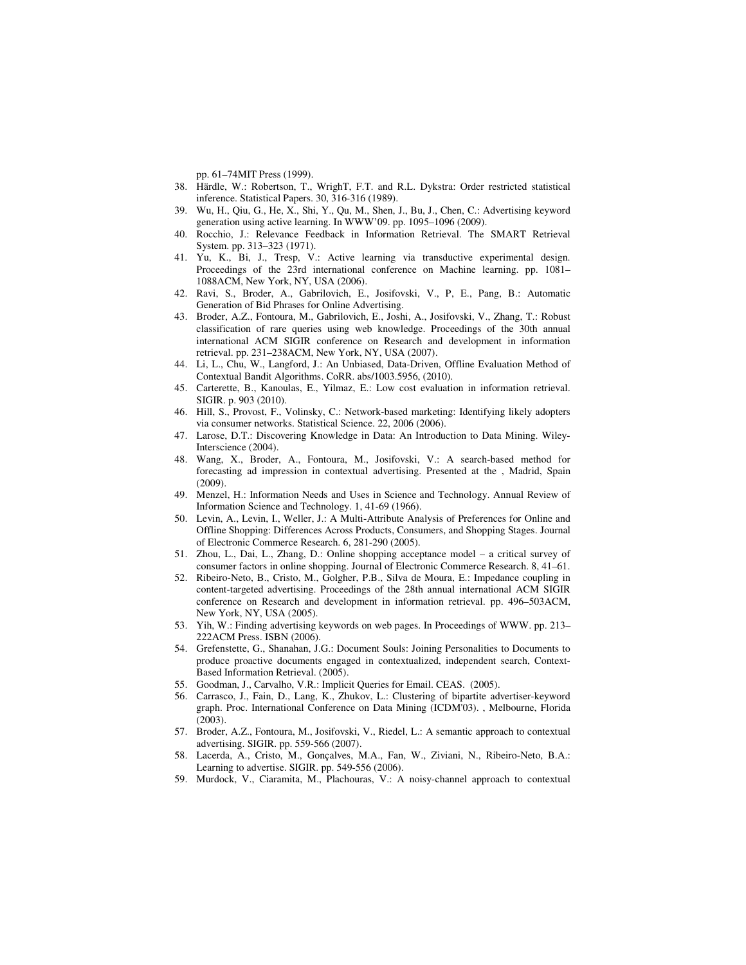pp. 61–74MIT Press (1999).

- 38. Härdle, W.: Robertson, T., WrighT, F.T. and R.L. Dykstra: Order restricted statistical inference. Statistical Papers. 30, 316-316 (1989).
- 39. Wu, H., Qiu, G., He, X., Shi, Y., Qu, M., Shen, J., Bu, J., Chen, C.: Advertising keyword generation using active learning. In WWW'09. pp. 1095–1096 (2009).
- 40. Rocchio, J.: Relevance Feedback in Information Retrieval. The SMART Retrieval System. pp. 313–323 (1971).
- 41. Yu, K., Bi, J., Tresp, V.: Active learning via transductive experimental design. Proceedings of the 23rd international conference on Machine learning. pp. 1081– 1088ACM, New York, NY, USA (2006).
- 42. Ravi, S., Broder, A., Gabrilovich, E., Josifovski, V., P, E., Pang, B.: Automatic Generation of Bid Phrases for Online Advertising.
- 43. Broder, A.Z., Fontoura, M., Gabrilovich, E., Joshi, A., Josifovski, V., Zhang, T.: Robust classification of rare queries using web knowledge. Proceedings of the 30th annual international ACM SIGIR conference on Research and development in information retrieval. pp. 231–238ACM, New York, NY, USA (2007).
- 44. Li, L., Chu, W., Langford, J.: An Unbiased, Data-Driven, Offline Evaluation Method of Contextual Bandit Algorithms. CoRR. abs/1003.5956, (2010).
- 45. Carterette, B., Kanoulas, E., Yilmaz, E.: Low cost evaluation in information retrieval. SIGIR. p. 903 (2010).
- 46. Hill, S., Provost, F., Volinsky, C.: Network-based marketing: Identifying likely adopters via consumer networks. Statistical Science. 22, 2006 (2006).
- 47. Larose, D.T.: Discovering Knowledge in Data: An Introduction to Data Mining. Wiley-Interscience (2004).
- 48. Wang, X., Broder, A., Fontoura, M., Josifovski, V.: A search-based method for forecasting ad impression in contextual advertising. Presented at the , Madrid, Spain (2009).
- 49. Menzel, H.: Information Needs and Uses in Science and Technology. Annual Review of Information Science and Technology. 1, 41-69 (1966).
- 50. Levin, A., Levin, I., Weller, J.: A Multi-Attribute Analysis of Preferences for Online and Offline Shopping: Differences Across Products, Consumers, and Shopping Stages. Journal of Electronic Commerce Research. 6, 281-290 (2005).
- 51. Zhou, L., Dai, L., Zhang, D.: Online shopping acceptance model a critical survey of consumer factors in online shopping. Journal of Electronic Commerce Research. 8, 41–61.
- 52. Ribeiro-Neto, B., Cristo, M., Golgher, P.B., Silva de Moura, E.: Impedance coupling in content-targeted advertising. Proceedings of the 28th annual international ACM SIGIR conference on Research and development in information retrieval. pp. 496–503ACM, New York, NY, USA (2005).
- 53. Yih, W.: Finding advertising keywords on web pages. In Proceedings of WWW. pp. 213– 222ACM Press. ISBN (2006).
- 54. Grefenstette, G., Shanahan, J.G.: Document Souls: Joining Personalities to Documents to produce proactive documents engaged in contextualized, independent search, Context-Based Information Retrieval. (2005).
- 55. Goodman, J., Carvalho, V.R.: Implicit Queries for Email. CEAS. (2005).
- 56. Carrasco, J., Fain, D., Lang, K., Zhukov, L.: Clustering of bipartite advertiser-keyword graph. Proc. International Conference on Data Mining (ICDM'03). , Melbourne, Florida (2003).
- 57. Broder, A.Z., Fontoura, M., Josifovski, V., Riedel, L.: A semantic approach to contextual advertising. SIGIR. pp. 559-566 (2007).
- 58. Lacerda, A., Cristo, M., Gonçalves, M.A., Fan, W., Ziviani, N., Ribeiro-Neto, B.A.: Learning to advertise. SIGIR. pp. 549-556 (2006).
- 59. Murdock, V., Ciaramita, M., Plachouras, V.: A noisy-channel approach to contextual